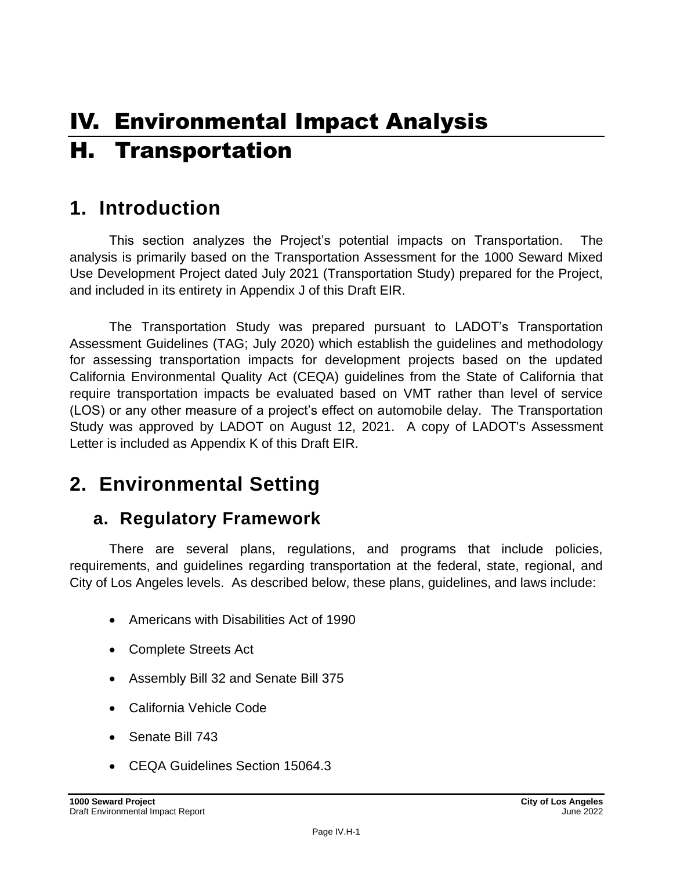# IV. Environmental Impact Analysis H. Transportation

## **1. Introduction**

This section analyzes the Project's potential impacts on Transportation. The analysis is primarily based on the Transportation Assessment for the 1000 Seward Mixed Use Development Project dated July 2021 (Transportation Study) prepared for the Project, and included in its entirety in Appendix J of this Draft EIR.

The Transportation Study was prepared pursuant to LADOT's Transportation Assessment Guidelines (TAG; July 2020) which establish the guidelines and methodology for assessing transportation impacts for development projects based on the updated California Environmental Quality Act (CEQA) guidelines from the State of California that require transportation impacts be evaluated based on VMT rather than level of service (LOS) or any other measure of a project's effect on automobile delay. The Transportation Study was approved by LADOT on August 12, 2021. A copy of LADOT's Assessment Letter is included as Appendix K of this Draft EIR.

## **2. Environmental Setting**

## **a. Regulatory Framework**

There are several plans, regulations, and programs that include policies, requirements, and guidelines regarding transportation at the federal, state, regional, and City of Los Angeles levels. As described below, these plans, guidelines, and laws include:

- Americans with Disabilities Act of 1990
- Complete Streets Act
- Assembly Bill 32 and Senate Bill 375
- California Vehicle Code
- Senate Bill 743
- CEQA Guidelines Section 15064.3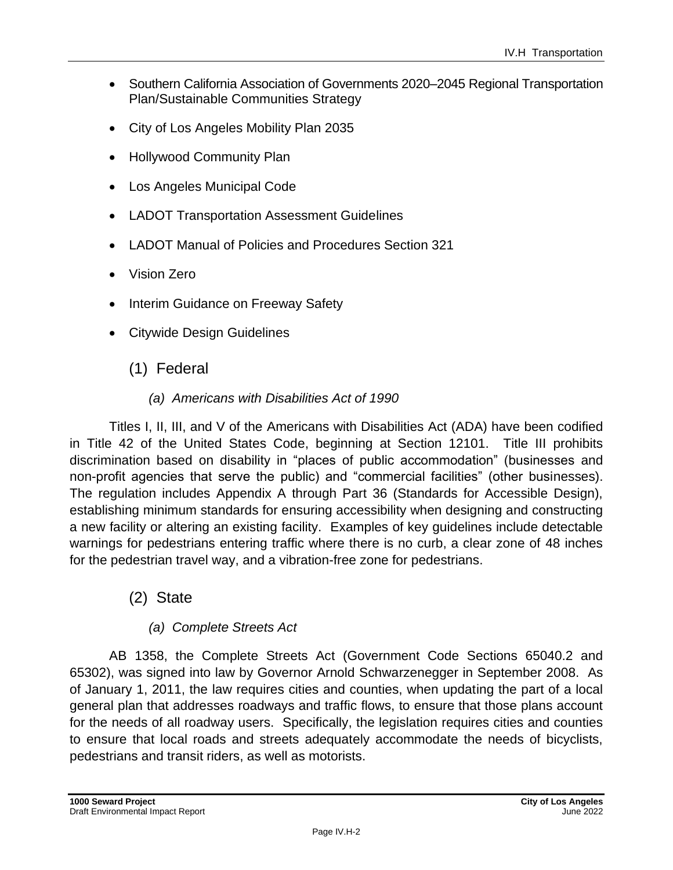- Southern California Association of Governments 2020–2045 Regional Transportation Plan/Sustainable Communities Strategy
- City of Los Angeles Mobility Plan 2035
- Hollywood Community Plan
- Los Angeles Municipal Code
- LADOT Transportation Assessment Guidelines
- LADOT Manual of Policies and Procedures Section 321
- Vision Zero
- Interim Guidance on Freeway Safety
- Citywide Design Guidelines
	- (1) Federal
		- *(a) Americans with Disabilities Act of 1990*

Titles I, II, III, and V of the Americans with Disabilities Act (ADA) have been codified in Title 42 of the United States Code, beginning at Section 12101. Title III prohibits discrimination based on disability in "places of public accommodation" (businesses and non-profit agencies that serve the public) and "commercial facilities" (other businesses). The regulation includes Appendix A through Part 36 (Standards for Accessible Design), establishing minimum standards for ensuring accessibility when designing and constructing a new facility or altering an existing facility. Examples of key guidelines include detectable warnings for pedestrians entering traffic where there is no curb, a clear zone of 48 inches for the pedestrian travel way, and a vibration-free zone for pedestrians.

(2) State

### *(a) Complete Streets Act*

AB 1358, the Complete Streets Act (Government Code Sections 65040.2 and 65302), was signed into law by Governor Arnold Schwarzenegger in September 2008. As of January 1, 2011, the law requires cities and counties, when updating the part of a local general plan that addresses roadways and traffic flows, to ensure that those plans account for the needs of all roadway users. Specifically, the legislation requires cities and counties to ensure that local roads and streets adequately accommodate the needs of bicyclists, pedestrians and transit riders, as well as motorists.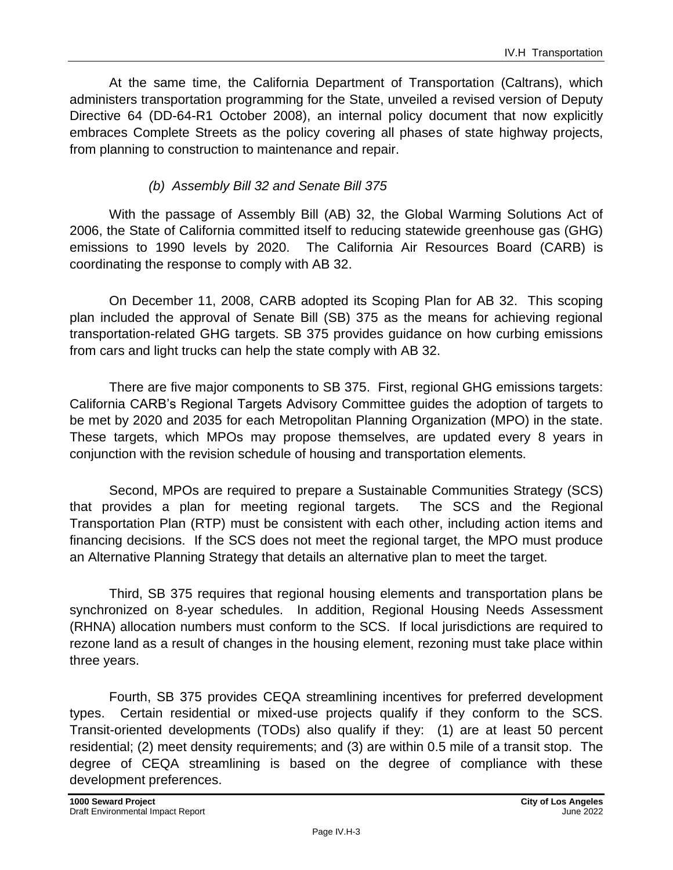At the same time, the California Department of Transportation (Caltrans), which administers transportation programming for the State, unveiled a revised version of Deputy Directive 64 (DD-64-R1 October 2008), an internal policy document that now explicitly embraces Complete Streets as the policy covering all phases of state highway projects, from planning to construction to maintenance and repair.

### *(b) Assembly Bill 32 and Senate Bill 375*

With the passage of Assembly Bill (AB) 32, the Global Warming Solutions Act of 2006, the State of California committed itself to reducing statewide greenhouse gas (GHG) emissions to 1990 levels by 2020. The California Air Resources Board (CARB) is coordinating the response to comply with AB 32.

On December 11, 2008, CARB adopted its Scoping Plan for AB 32. This scoping plan included the approval of Senate Bill (SB) 375 as the means for achieving regional transportation-related GHG targets. SB 375 provides guidance on how curbing emissions from cars and light trucks can help the state comply with AB 32.

There are five major components to SB 375. First, regional GHG emissions targets: California CARB's Regional Targets Advisory Committee guides the adoption of targets to be met by 2020 and 2035 for each Metropolitan Planning Organization (MPO) in the state. These targets, which MPOs may propose themselves, are updated every 8 years in conjunction with the revision schedule of housing and transportation elements.

Second, MPOs are required to prepare a Sustainable Communities Strategy (SCS) that provides a plan for meeting regional targets. The SCS and the Regional Transportation Plan (RTP) must be consistent with each other, including action items and financing decisions. If the SCS does not meet the regional target, the MPO must produce an Alternative Planning Strategy that details an alternative plan to meet the target.

Third, SB 375 requires that regional housing elements and transportation plans be synchronized on 8-year schedules. In addition, Regional Housing Needs Assessment (RHNA) allocation numbers must conform to the SCS. If local jurisdictions are required to rezone land as a result of changes in the housing element, rezoning must take place within three years.

Fourth, SB 375 provides CEQA streamlining incentives for preferred development types. Certain residential or mixed-use projects qualify if they conform to the SCS. Transit-oriented developments (TODs) also qualify if they: (1) are at least 50 percent residential; (2) meet density requirements; and (3) are within 0.5 mile of a transit stop. The degree of CEQA streamlining is based on the degree of compliance with these development preferences.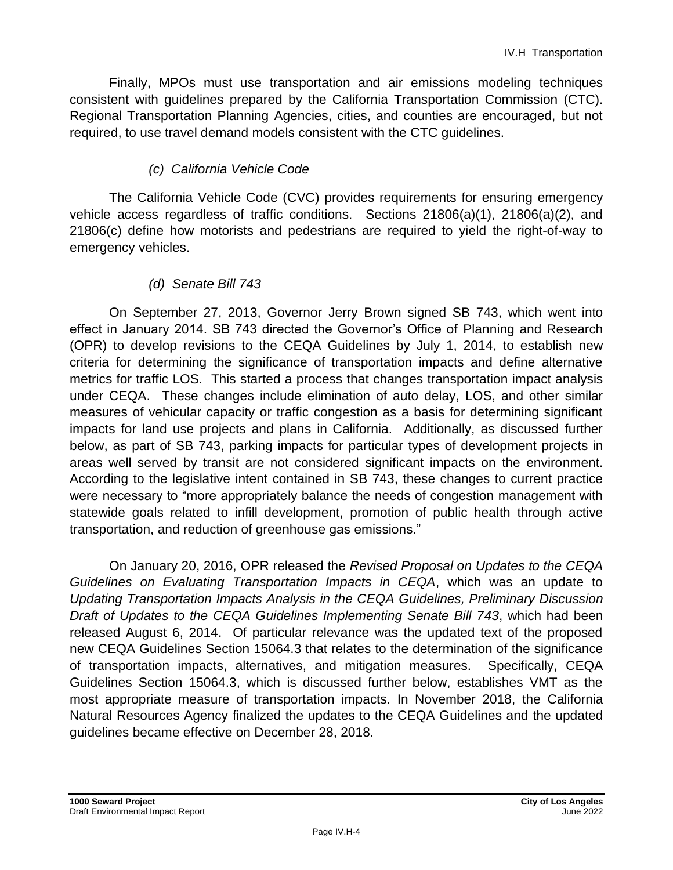Finally, MPOs must use transportation and air emissions modeling techniques consistent with guidelines prepared by the California Transportation Commission (CTC). Regional Transportation Planning Agencies, cities, and counties are encouraged, but not required, to use travel demand models consistent with the CTC guidelines.

### *(c) California Vehicle Code*

The California Vehicle Code (CVC) provides requirements for ensuring emergency vehicle access regardless of traffic conditions. Sections 21806(a)(1), 21806(a)(2), and 21806(c) define how motorists and pedestrians are required to yield the right-of-way to emergency vehicles.

#### *(d) Senate Bill 743*

On September 27, 2013, Governor Jerry Brown signed SB 743, which went into effect in January 2014. SB 743 directed the Governor's Office of Planning and Research (OPR) to develop revisions to the CEQA Guidelines by July 1, 2014, to establish new criteria for determining the significance of transportation impacts and define alternative metrics for traffic LOS. This started a process that changes transportation impact analysis under CEQA. These changes include elimination of auto delay, LOS, and other similar measures of vehicular capacity or traffic congestion as a basis for determining significant impacts for land use projects and plans in California. Additionally, as discussed further below, as part of SB 743, parking impacts for particular types of development projects in areas well served by transit are not considered significant impacts on the environment. According to the legislative intent contained in SB 743, these changes to current practice were necessary to "more appropriately balance the needs of congestion management with statewide goals related to infill development, promotion of public health through active transportation, and reduction of greenhouse gas emissions."

On January 20, 2016, OPR released the *Revised Proposal on Updates to the CEQA Guidelines on Evaluating Transportation Impacts in CEQA*, which was an update to *Updating Transportation Impacts Analysis in the CEQA Guidelines, Preliminary Discussion Draft of Updates to the CEQA Guidelines Implementing Senate Bill 743*, which had been released August 6, 2014. Of particular relevance was the updated text of the proposed new CEQA Guidelines Section 15064.3 that relates to the determination of the significance of transportation impacts, alternatives, and mitigation measures. Specifically, CEQA Guidelines Section 15064.3, which is discussed further below, establishes VMT as the most appropriate measure of transportation impacts. In November 2018, the California Natural Resources Agency finalized the updates to the CEQA Guidelines and the updated guidelines became effective on December 28, 2018.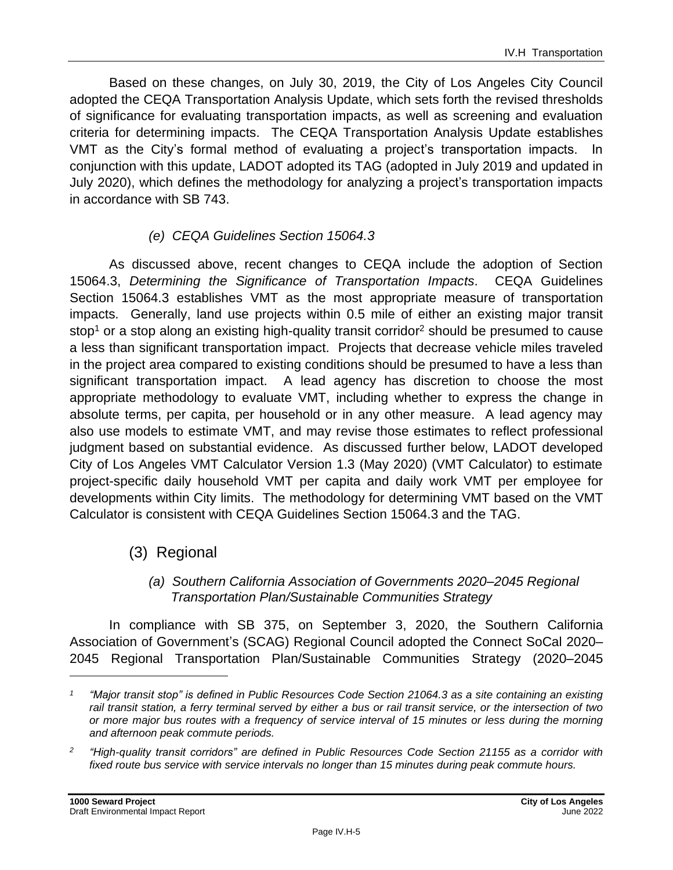Based on these changes, on July 30, 2019, the City of Los Angeles City Council adopted the CEQA Transportation Analysis Update, which sets forth the revised thresholds of significance for evaluating transportation impacts, as well as screening and evaluation criteria for determining impacts. The CEQA Transportation Analysis Update establishes VMT as the City's formal method of evaluating a project's transportation impacts. In conjunction with this update, LADOT adopted its TAG (adopted in July 2019 and updated in July 2020), which defines the methodology for analyzing a project's transportation impacts in accordance with SB 743.

### *(e) CEQA Guidelines Section 15064.3*

As discussed above, recent changes to CEQA include the adoption of Section 15064.3, *Determining the Significance of Transportation Impacts*. CEQA Guidelines Section 15064.3 establishes VMT as the most appropriate measure of transportation impacts. Generally, land use projects within 0.5 mile of either an existing major transit stop<sup>1</sup> or a stop along an existing high-quality transit corridor<sup>2</sup> should be presumed to cause a less than significant transportation impact. Projects that decrease vehicle miles traveled in the project area compared to existing conditions should be presumed to have a less than significant transportation impact. A lead agency has discretion to choose the most appropriate methodology to evaluate VMT, including whether to express the change in absolute terms, per capita, per household or in any other measure. A lead agency may also use models to estimate VMT, and may revise those estimates to reflect professional judgment based on substantial evidence. As discussed further below, LADOT developed City of Los Angeles VMT Calculator Version 1.3 (May 2020) (VMT Calculator) to estimate project-specific daily household VMT per capita and daily work VMT per employee for developments within City limits. The methodology for determining VMT based on the VMT Calculator is consistent with CEQA Guidelines Section 15064.3 and the TAG.

### (3) Regional

#### *(a) Southern California Association of Governments 2020–2045 Regional Transportation Plan/Sustainable Communities Strategy*

In compliance with SB 375, on September 3, 2020, the Southern California Association of Government's (SCAG) Regional Council adopted the Connect SoCal 2020– 2045 Regional Transportation Plan/Sustainable Communities Strategy (2020–2045

*<sup>1</sup> "Major transit stop" is defined in Public Resources Code Section 21064.3 as a site containing an existing rail transit station, a ferry terminal served by either a bus or rail transit service, or the intersection of two or more major bus routes with a frequency of service interval of 15 minutes or less during the morning and afternoon peak commute periods.*

*<sup>2</sup> "High-quality transit corridors" are defined in Public Resources Code Section 21155 as a corridor with fixed route bus service with service intervals no longer than 15 minutes during peak commute hours.*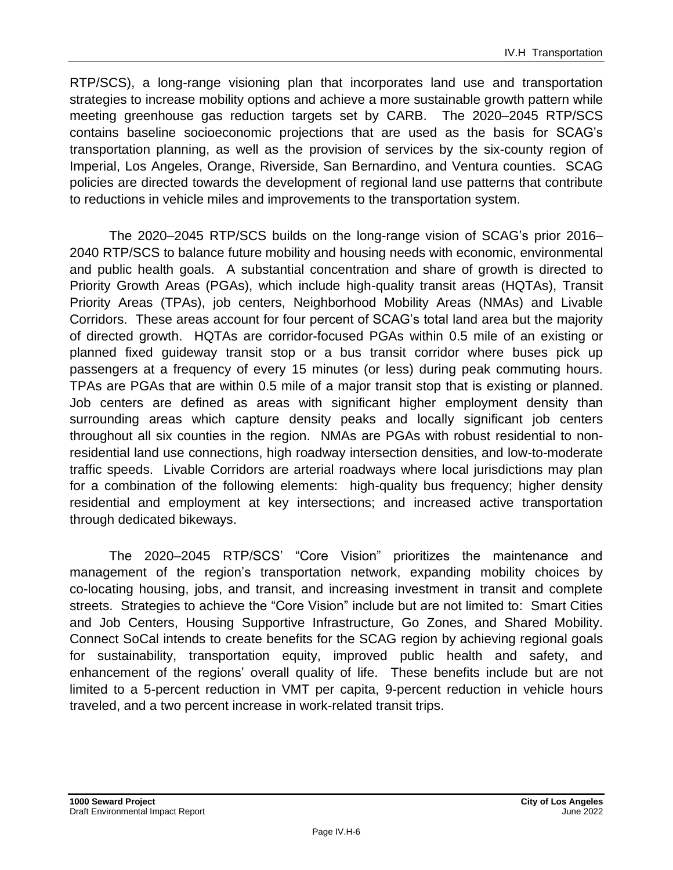RTP/SCS), a long-range visioning plan that incorporates land use and transportation strategies to increase mobility options and achieve a more sustainable growth pattern while meeting greenhouse gas reduction targets set by CARB. The 2020–2045 RTP/SCS contains baseline socioeconomic projections that are used as the basis for SCAG's transportation planning, as well as the provision of services by the six-county region of Imperial, Los Angeles, Orange, Riverside, San Bernardino, and Ventura counties. SCAG policies are directed towards the development of regional land use patterns that contribute to reductions in vehicle miles and improvements to the transportation system.

The 2020–2045 RTP/SCS builds on the long-range vision of SCAG's prior 2016– 2040 RTP/SCS to balance future mobility and housing needs with economic, environmental and public health goals. A substantial concentration and share of growth is directed to Priority Growth Areas (PGAs), which include high-quality transit areas (HQTAs), Transit Priority Areas (TPAs), job centers, Neighborhood Mobility Areas (NMAs) and Livable Corridors. These areas account for four percent of SCAG's total land area but the majority of directed growth. HQTAs are corridor-focused PGAs within 0.5 mile of an existing or planned fixed guideway transit stop or a bus transit corridor where buses pick up passengers at a frequency of every 15 minutes (or less) during peak commuting hours. TPAs are PGAs that are within 0.5 mile of a major transit stop that is existing or planned. Job centers are defined as areas with significant higher employment density than surrounding areas which capture density peaks and locally significant job centers throughout all six counties in the region. NMAs are PGAs with robust residential to nonresidential land use connections, high roadway intersection densities, and low-to-moderate traffic speeds. Livable Corridors are arterial roadways where local jurisdictions may plan for a combination of the following elements: high-quality bus frequency; higher density residential and employment at key intersections; and increased active transportation through dedicated bikeways.

The 2020–2045 RTP/SCS' "Core Vision" prioritizes the maintenance and management of the region's transportation network, expanding mobility choices by co-locating housing, jobs, and transit, and increasing investment in transit and complete streets. Strategies to achieve the "Core Vision" include but are not limited to: Smart Cities and Job Centers, Housing Supportive Infrastructure, Go Zones, and Shared Mobility. Connect SoCal intends to create benefits for the SCAG region by achieving regional goals for sustainability, transportation equity, improved public health and safety, and enhancement of the regions' overall quality of life. These benefits include but are not limited to a 5-percent reduction in VMT per capita, 9-percent reduction in vehicle hours traveled, and a two percent increase in work-related transit trips.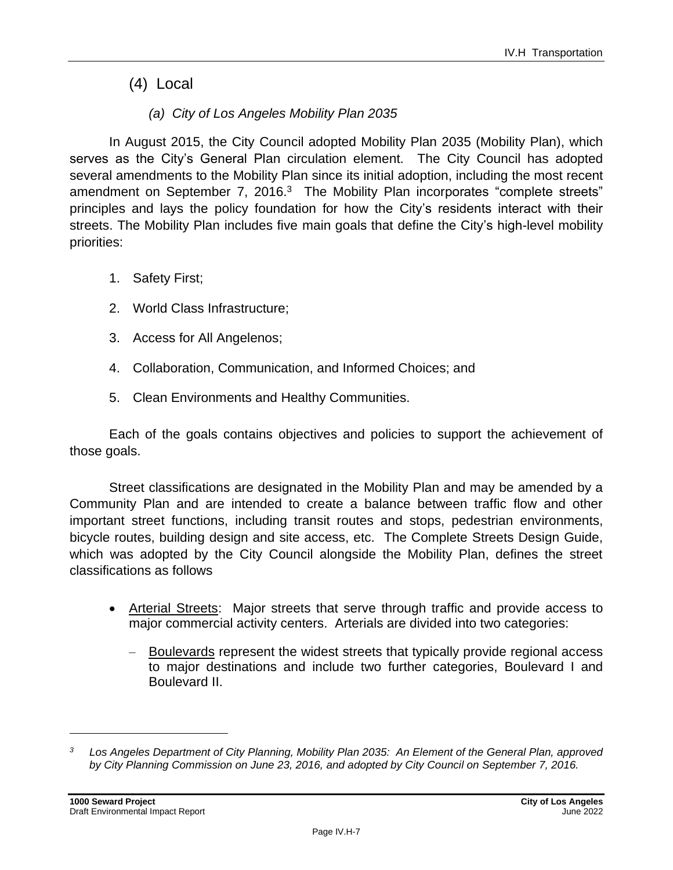(4) Local

### *(a) City of Los Angeles Mobility Plan 2035*

In August 2015, the City Council adopted Mobility Plan 2035 (Mobility Plan), which serves as the City's General Plan circulation element. The City Council has adopted several amendments to the Mobility Plan since its initial adoption, including the most recent amendment on September 7, 2016.<sup>3</sup> The Mobility Plan incorporates "complete streets" principles and lays the policy foundation for how the City's residents interact with their streets. The Mobility Plan includes five main goals that define the City's high-level mobility priorities:

- 1. Safety First;
- 2. World Class Infrastructure;
- 3. Access for All Angelenos;
- 4. Collaboration, Communication, and Informed Choices; and
- 5. Clean Environments and Healthy Communities.

Each of the goals contains objectives and policies to support the achievement of those goals.

Street classifications are designated in the Mobility Plan and may be amended by a Community Plan and are intended to create a balance between traffic flow and other important street functions, including transit routes and stops, pedestrian environments, bicycle routes, building design and site access, etc. The Complete Streets Design Guide, which was adopted by the City Council alongside the Mobility Plan, defines the street classifications as follows

- Arterial Streets: Major streets that serve through traffic and provide access to major commercial activity centers. Arterials are divided into two categories:
	- Boulevards represent the widest streets that typically provide regional access to major destinations and include two further categories, Boulevard I and Boulevard II.

*<sup>3</sup> Los Angeles Department of City Planning, Mobility Plan 2035: An Element of the General Plan, approved by City Planning Commission on June 23, 2016, and adopted by City Council on September 7, 2016.*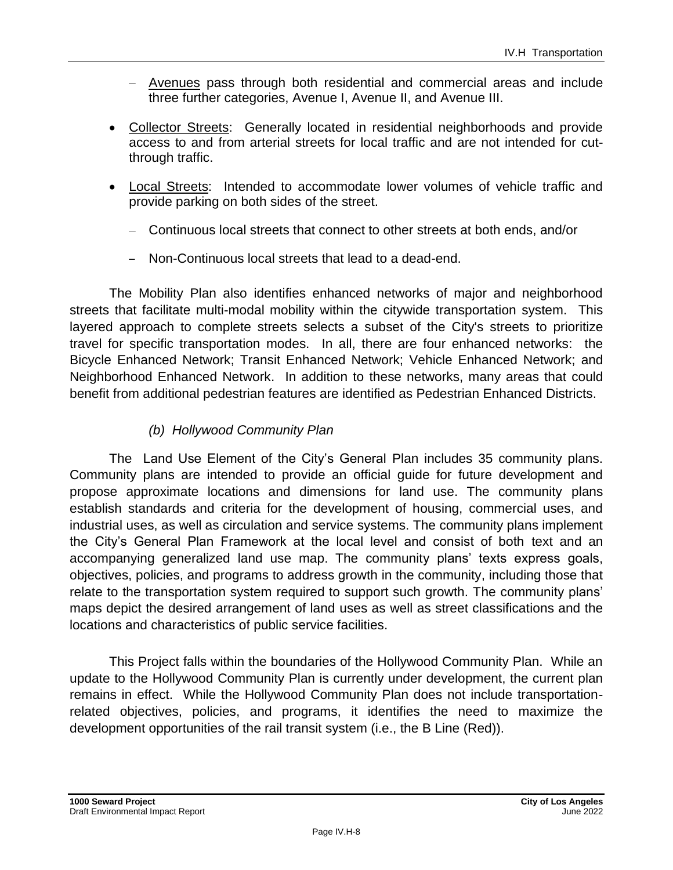- Avenues pass through both residential and commercial areas and include three further categories, Avenue I, Avenue II, and Avenue III.
- Collector Streets: Generally located in residential neighborhoods and provide access to and from arterial streets for local traffic and are not intended for cutthrough traffic.
- Local Streets: Intended to accommodate lower volumes of vehicle traffic and provide parking on both sides of the street.
	- Continuous local streets that connect to other streets at both ends, and/or
	- Non-Continuous local streets that lead to a dead-end.

The Mobility Plan also identifies enhanced networks of major and neighborhood streets that facilitate multi-modal mobility within the citywide transportation system. This layered approach to complete streets selects a subset of the City's streets to prioritize travel for specific transportation modes. In all, there are four enhanced networks: the Bicycle Enhanced Network; Transit Enhanced Network; Vehicle Enhanced Network; and Neighborhood Enhanced Network. In addition to these networks, many areas that could benefit from additional pedestrian features are identified as Pedestrian Enhanced Districts.

### *(b) Hollywood Community Plan*

The Land Use Element of the City's General Plan includes 35 community plans. Community plans are intended to provide an official guide for future development and propose approximate locations and dimensions for land use. The community plans establish standards and criteria for the development of housing, commercial uses, and industrial uses, as well as circulation and service systems. The community plans implement the City's General Plan Framework at the local level and consist of both text and an accompanying generalized land use map. The community plans' texts express goals, objectives, policies, and programs to address growth in the community, including those that relate to the transportation system required to support such growth. The community plans' maps depict the desired arrangement of land uses as well as street classifications and the locations and characteristics of public service facilities.

This Project falls within the boundaries of the Hollywood Community Plan. While an update to the Hollywood Community Plan is currently under development, the current plan remains in effect. While the Hollywood Community Plan does not include transportationrelated objectives, policies, and programs, it identifies the need to maximize the development opportunities of the rail transit system (i.e., the B Line (Red)).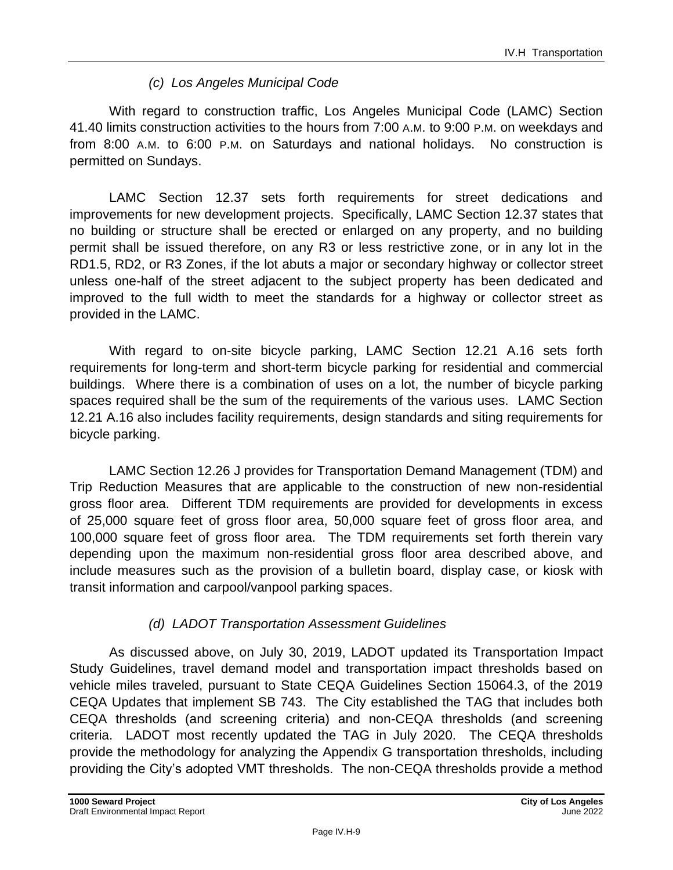### *(c) Los Angeles Municipal Code*

With regard to construction traffic, Los Angeles Municipal Code (LAMC) Section 41.40 limits construction activities to the hours from 7:00 A.M. to 9:00 P.M. on weekdays and from 8:00 A.M. to 6:00 P.M. on Saturdays and national holidays. No construction is permitted on Sundays.

LAMC Section 12.37 sets forth requirements for street dedications and improvements for new development projects. Specifically, LAMC Section 12.37 states that no building or structure shall be erected or enlarged on any property, and no building permit shall be issued therefore, on any R3 or less restrictive zone, or in any lot in the RD1.5, RD2, or R3 Zones, if the lot abuts a major or secondary highway or collector street unless one-half of the street adjacent to the subject property has been dedicated and improved to the full width to meet the standards for a highway or collector street as provided in the LAMC.

With regard to on-site bicycle parking, LAMC Section 12.21 A.16 sets forth requirements for long-term and short-term bicycle parking for residential and commercial buildings. Where there is a combination of uses on a lot, the number of bicycle parking spaces required shall be the sum of the requirements of the various uses. LAMC Section 12.21 A.16 also includes facility requirements, design standards and siting requirements for bicycle parking.

LAMC Section 12.26 J provides for Transportation Demand Management (TDM) and Trip Reduction Measures that are applicable to the construction of new non-residential gross floor area. Different TDM requirements are provided for developments in excess of 25,000 square feet of gross floor area, 50,000 square feet of gross floor area, and 100,000 square feet of gross floor area. The TDM requirements set forth therein vary depending upon the maximum non-residential gross floor area described above, and include measures such as the provision of a bulletin board, display case, or kiosk with transit information and carpool/vanpool parking spaces.

### *(d) LADOT Transportation Assessment Guidelines*

As discussed above, on July 30, 2019, LADOT updated its Transportation Impact Study Guidelines, travel demand model and transportation impact thresholds based on vehicle miles traveled, pursuant to State CEQA Guidelines Section 15064.3, of the 2019 CEQA Updates that implement SB 743. The City established the TAG that includes both CEQA thresholds (and screening criteria) and non-CEQA thresholds (and screening criteria. LADOT most recently updated the TAG in July 2020. The CEQA thresholds provide the methodology for analyzing the Appendix G transportation thresholds, including providing the City's adopted VMT thresholds. The non-CEQA thresholds provide a method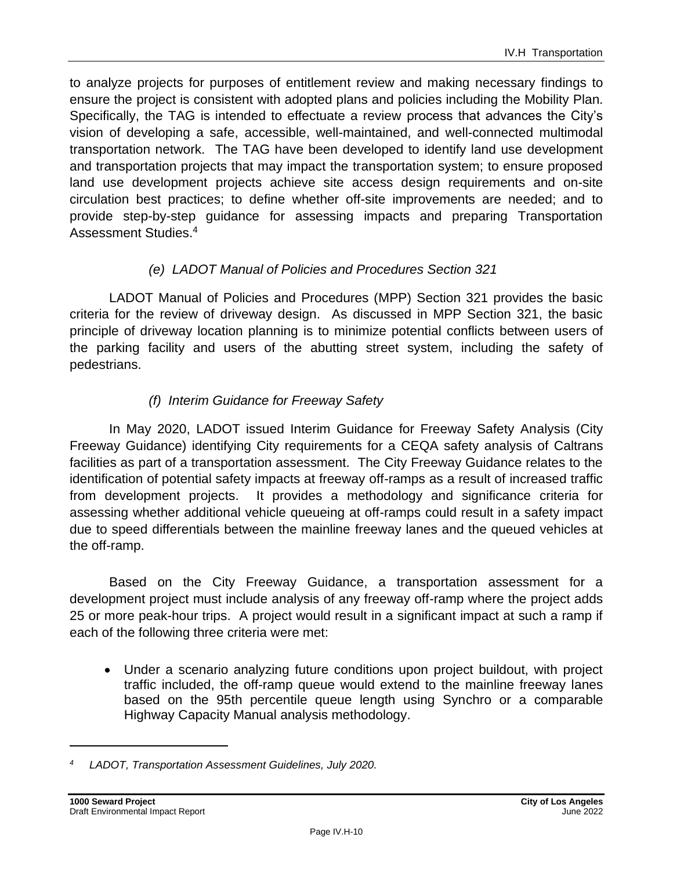to analyze projects for purposes of entitlement review and making necessary findings to ensure the project is consistent with adopted plans and policies including the Mobility Plan. Specifically, the TAG is intended to effectuate a review process that advances the City's vision of developing a safe, accessible, well-maintained, and well-connected multimodal transportation network. The TAG have been developed to identify land use development and transportation projects that may impact the transportation system; to ensure proposed land use development projects achieve site access design requirements and on-site circulation best practices; to define whether off-site improvements are needed; and to provide step-by-step guidance for assessing impacts and preparing Transportation Assessment Studies.<sup>4</sup>

### *(e) LADOT Manual of Policies and Procedures Section 321*

LADOT Manual of Policies and Procedures (MPP) Section 321 provides the basic criteria for the review of driveway design. As discussed in MPP Section 321, the basic principle of driveway location planning is to minimize potential conflicts between users of the parking facility and users of the abutting street system, including the safety of pedestrians.

### *(f) Interim Guidance for Freeway Safety*

In May 2020, LADOT issued Interim Guidance for Freeway Safety Analysis (City Freeway Guidance) identifying City requirements for a CEQA safety analysis of Caltrans facilities as part of a transportation assessment. The City Freeway Guidance relates to the identification of potential safety impacts at freeway off-ramps as a result of increased traffic from development projects. It provides a methodology and significance criteria for assessing whether additional vehicle queueing at off-ramps could result in a safety impact due to speed differentials between the mainline freeway lanes and the queued vehicles at the off-ramp.

Based on the City Freeway Guidance, a transportation assessment for a development project must include analysis of any freeway off-ramp where the project adds 25 or more peak-hour trips. A project would result in a significant impact at such a ramp if each of the following three criteria were met:

• Under a scenario analyzing future conditions upon project buildout, with project traffic included, the off-ramp queue would extend to the mainline freeway lanes based on the 95th percentile queue length using Synchro or a comparable Highway Capacity Manual analysis methodology.

*<sup>4</sup> LADOT, Transportation Assessment Guidelines, July 2020.*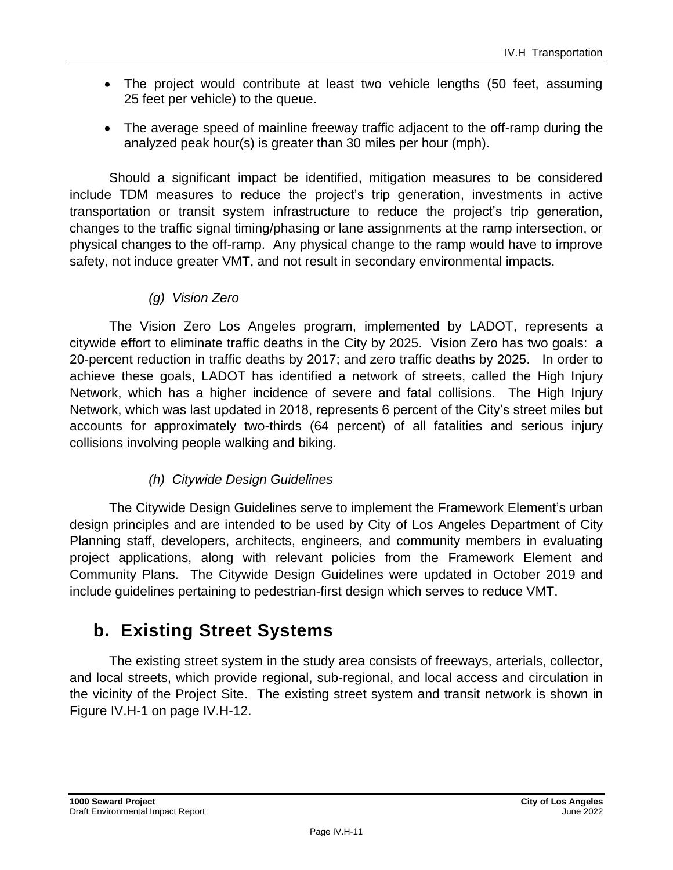- The project would contribute at least two vehicle lengths (50 feet, assuming 25 feet per vehicle) to the queue.
- The average speed of mainline freeway traffic adjacent to the off-ramp during the analyzed peak hour(s) is greater than 30 miles per hour (mph).

Should a significant impact be identified, mitigation measures to be considered include TDM measures to reduce the project's trip generation, investments in active transportation or transit system infrastructure to reduce the project's trip generation, changes to the traffic signal timing/phasing or lane assignments at the ramp intersection, or physical changes to the off-ramp. Any physical change to the ramp would have to improve safety, not induce greater VMT, and not result in secondary environmental impacts.

### *(g) Vision Zero*

The Vision Zero Los Angeles program, implemented by LADOT, represents a citywide effort to eliminate traffic deaths in the City by 2025. Vision Zero has two goals: a 20-percent reduction in traffic deaths by 2017; and zero traffic deaths by 2025. In order to achieve these goals, LADOT has identified a network of streets, called the High Injury Network, which has a higher incidence of severe and fatal collisions. The High Injury Network, which was last updated in 2018, represents 6 percent of the City's street miles but accounts for approximately two-thirds (64 percent) of all fatalities and serious injury collisions involving people walking and biking.

### *(h) Citywide Design Guidelines*

The Citywide Design Guidelines serve to implement the Framework Element's urban design principles and are intended to be used by City of Los Angeles Department of City Planning staff, developers, architects, engineers, and community members in evaluating project applications, along with relevant policies from the Framework Element and Community Plans. The Citywide Design Guidelines were updated in October 2019 and include guidelines pertaining to pedestrian-first design which serves to reduce VMT.

## **b. Existing Street Systems**

The existing street system in the study area consists of freeways, arterials, collector, and local streets, which provide regional, sub-regional, and local access and circulation in the vicinity of the Project Site. The existing street system and transit network is shown in Figure IV.H-1 on page IV.H-12.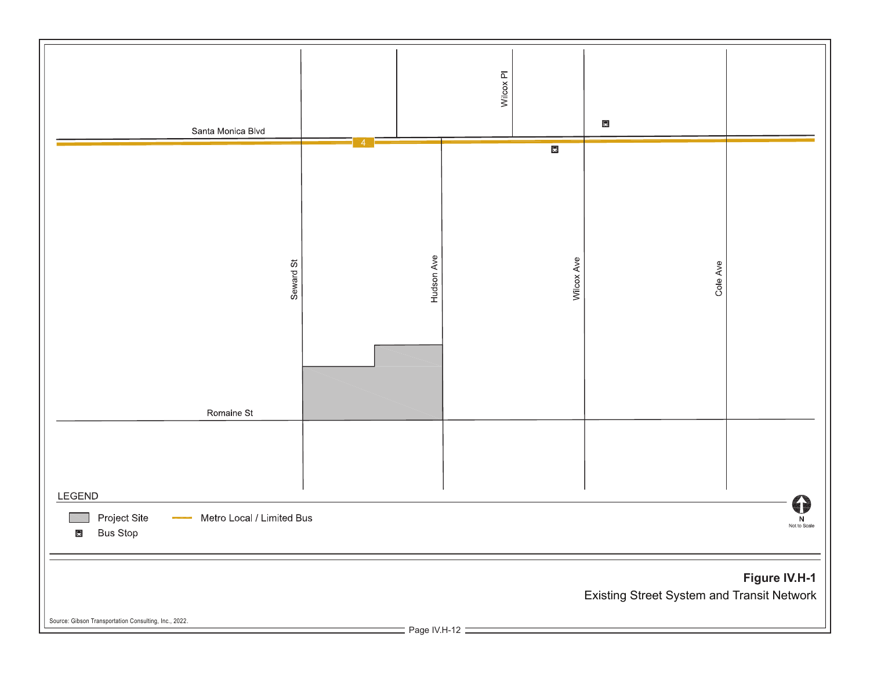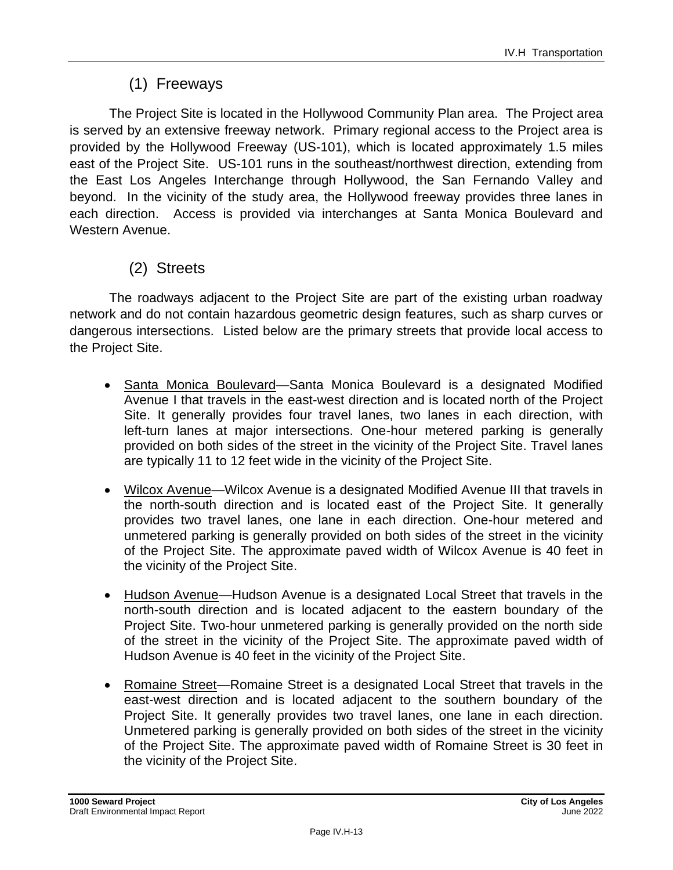## (1) Freeways

The Project Site is located in the Hollywood Community Plan area. The Project area is served by an extensive freeway network. Primary regional access to the Project area is provided by the Hollywood Freeway (US-101), which is located approximately 1.5 miles east of the Project Site. US-101 runs in the southeast/northwest direction, extending from the East Los Angeles Interchange through Hollywood, the San Fernando Valley and beyond. In the vicinity of the study area, the Hollywood freeway provides three lanes in each direction. Access is provided via interchanges at Santa Monica Boulevard and Western Avenue.

### (2) Streets

The roadways adjacent to the Project Site are part of the existing urban roadway network and do not contain hazardous geometric design features, such as sharp curves or dangerous intersections. Listed below are the primary streets that provide local access to the Project Site.

- Santa Monica Boulevard—Santa Monica Boulevard is a designated Modified Avenue I that travels in the east-west direction and is located north of the Project Site. It generally provides four travel lanes, two lanes in each direction, with left-turn lanes at major intersections. One-hour metered parking is generally provided on both sides of the street in the vicinity of the Project Site. Travel lanes are typically 11 to 12 feet wide in the vicinity of the Project Site.
- Wilcox Avenue—Wilcox Avenue is a designated Modified Avenue III that travels in the north-south direction and is located east of the Project Site. It generally provides two travel lanes, one lane in each direction. One-hour metered and unmetered parking is generally provided on both sides of the street in the vicinity of the Project Site. The approximate paved width of Wilcox Avenue is 40 feet in the vicinity of the Project Site.
- Hudson Avenue—Hudson Avenue is a designated Local Street that travels in the north-south direction and is located adjacent to the eastern boundary of the Project Site. Two-hour unmetered parking is generally provided on the north side of the street in the vicinity of the Project Site. The approximate paved width of Hudson Avenue is 40 feet in the vicinity of the Project Site.
- Romaine Street—Romaine Street is a designated Local Street that travels in the east-west direction and is located adjacent to the southern boundary of the Project Site. It generally provides two travel lanes, one lane in each direction. Unmetered parking is generally provided on both sides of the street in the vicinity of the Project Site. The approximate paved width of Romaine Street is 30 feet in the vicinity of the Project Site.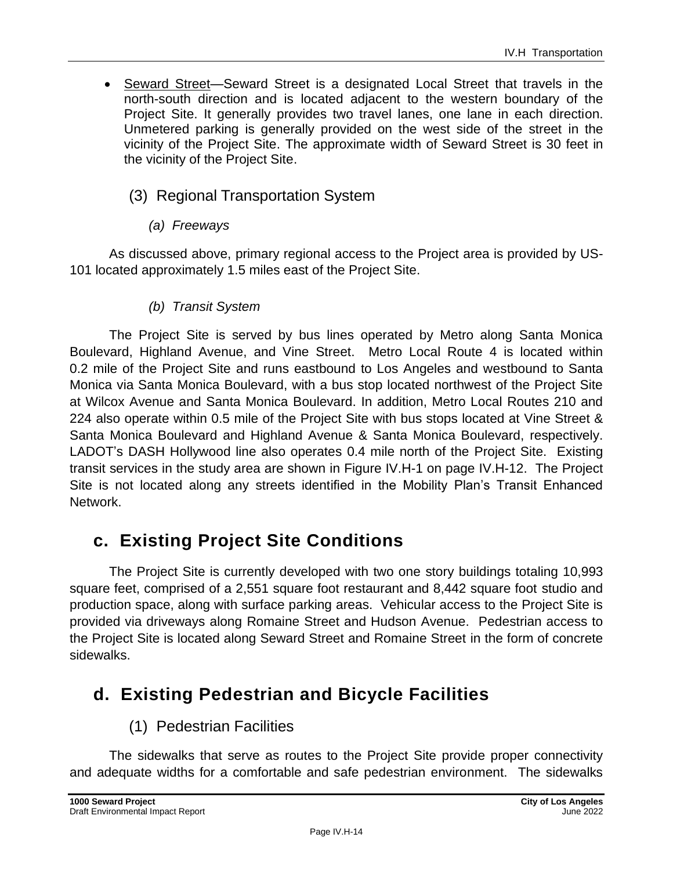• Seward Street—Seward Street is a designated Local Street that travels in the north-south direction and is located adjacent to the western boundary of the Project Site. It generally provides two travel lanes, one lane in each direction. Unmetered parking is generally provided on the west side of the street in the vicinity of the Project Site. The approximate width of Seward Street is 30 feet in the vicinity of the Project Site.

### (3) Regional Transportation System

### *(a) Freeways*

As discussed above, primary regional access to the Project area is provided by US-101 located approximately 1.5 miles east of the Project Site.

### *(b) Transit System*

The Project Site is served by bus lines operated by Metro along Santa Monica Boulevard, Highland Avenue, and Vine Street. Metro Local Route 4 is located within 0.2 mile of the Project Site and runs eastbound to Los Angeles and westbound to Santa Monica via Santa Monica Boulevard, with a bus stop located northwest of the Project Site at Wilcox Avenue and Santa Monica Boulevard. In addition, Metro Local Routes 210 and 224 also operate within 0.5 mile of the Project Site with bus stops located at Vine Street & Santa Monica Boulevard and Highland Avenue & Santa Monica Boulevard, respectively. LADOT's DASH Hollywood line also operates 0.4 mile north of the Project Site. Existing transit services in the study area are shown in Figure IV.H-1 on page IV.H-12. The Project Site is not located along any streets identified in the Mobility Plan's Transit Enhanced Network.

## **c. Existing Project Site Conditions**

The Project Site is currently developed with two one story buildings totaling 10,993 square feet, comprised of a 2,551 square foot restaurant and 8,442 square foot studio and production space, along with surface parking areas. Vehicular access to the Project Site is provided via driveways along Romaine Street and Hudson Avenue. Pedestrian access to the Project Site is located along Seward Street and Romaine Street in the form of concrete sidewalks.

## **d. Existing Pedestrian and Bicycle Facilities**

## (1) Pedestrian Facilities

The sidewalks that serve as routes to the Project Site provide proper connectivity and adequate widths for a comfortable and safe pedestrian environment. The sidewalks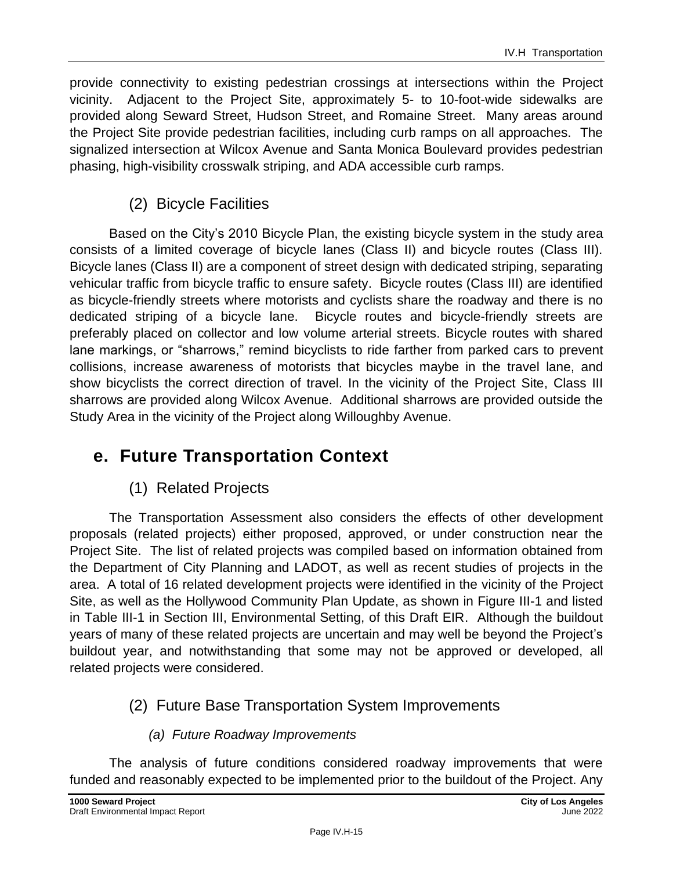provide connectivity to existing pedestrian crossings at intersections within the Project vicinity. Adjacent to the Project Site, approximately 5- to 10-foot-wide sidewalks are provided along Seward Street, Hudson Street, and Romaine Street. Many areas around the Project Site provide pedestrian facilities, including curb ramps on all approaches. The signalized intersection at Wilcox Avenue and Santa Monica Boulevard provides pedestrian phasing, high-visibility crosswalk striping, and ADA accessible curb ramps.

### (2) Bicycle Facilities

Based on the City's 2010 Bicycle Plan, the existing bicycle system in the study area consists of a limited coverage of bicycle lanes (Class II) and bicycle routes (Class III). Bicycle lanes (Class II) are a component of street design with dedicated striping, separating vehicular traffic from bicycle traffic to ensure safety. Bicycle routes (Class III) are identified as bicycle-friendly streets where motorists and cyclists share the roadway and there is no dedicated striping of a bicycle lane. Bicycle routes and bicycle-friendly streets are preferably placed on collector and low volume arterial streets. Bicycle routes with shared lane markings, or "sharrows," remind bicyclists to ride farther from parked cars to prevent collisions, increase awareness of motorists that bicycles maybe in the travel lane, and show bicyclists the correct direction of travel. In the vicinity of the Project Site, Class III sharrows are provided along Wilcox Avenue. Additional sharrows are provided outside the Study Area in the vicinity of the Project along Willoughby Avenue.

## **e. Future Transportation Context**

## (1) Related Projects

The Transportation Assessment also considers the effects of other development proposals (related projects) either proposed, approved, or under construction near the Project Site. The list of related projects was compiled based on information obtained from the Department of City Planning and LADOT, as well as recent studies of projects in the area. A total of 16 related development projects were identified in the vicinity of the Project Site, as well as the Hollywood Community Plan Update, as shown in Figure III-1 and listed in Table III-1 in Section III, Environmental Setting, of this Draft EIR. Although the buildout years of many of these related projects are uncertain and may well be beyond the Project's buildout year, and notwithstanding that some may not be approved or developed, all related projects were considered.

## (2) Future Base Transportation System Improvements

### *(a) Future Roadway Improvements*

The analysis of future conditions considered roadway improvements that were funded and reasonably expected to be implemented prior to the buildout of the Project. Any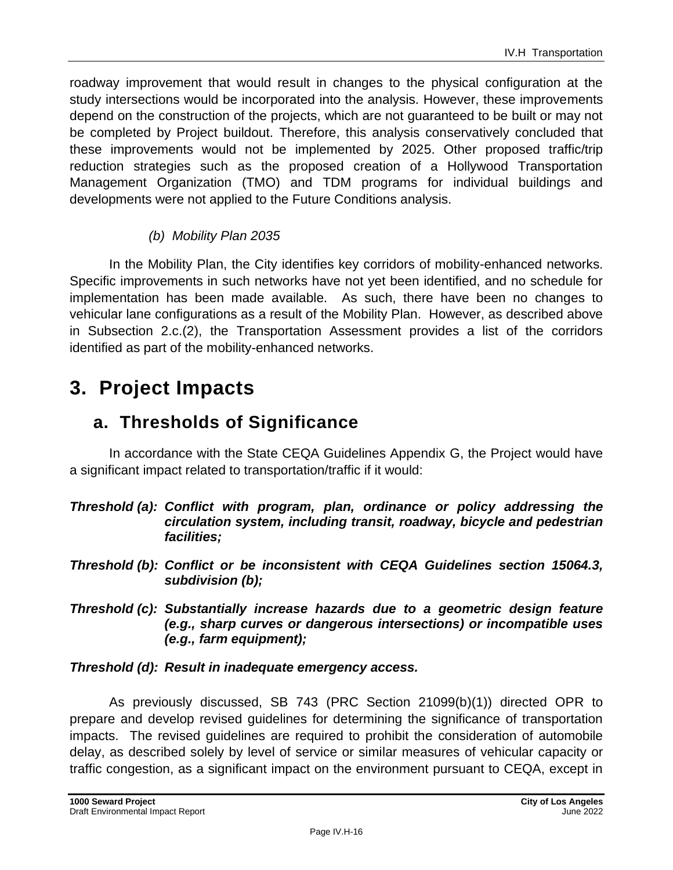roadway improvement that would result in changes to the physical configuration at the study intersections would be incorporated into the analysis. However, these improvements depend on the construction of the projects, which are not guaranteed to be built or may not be completed by Project buildout. Therefore, this analysis conservatively concluded that these improvements would not be implemented by 2025. Other proposed traffic/trip reduction strategies such as the proposed creation of a Hollywood Transportation Management Organization (TMO) and TDM programs for individual buildings and developments were not applied to the Future Conditions analysis.

### *(b) Mobility Plan 2035*

In the Mobility Plan, the City identifies key corridors of mobility-enhanced networks. Specific improvements in such networks have not yet been identified, and no schedule for implementation has been made available. As such, there have been no changes to vehicular lane configurations as a result of the Mobility Plan. However, as described above in Subsection 2.c.(2), the Transportation Assessment provides a list of the corridors identified as part of the mobility-enhanced networks.

## **3. Project Impacts**

## **a. Thresholds of Significance**

In accordance with the State CEQA Guidelines Appendix G, the Project would have a significant impact related to transportation/traffic if it would:

- *Threshold (a): Conflict with program, plan, ordinance or policy addressing the circulation system, including transit, roadway, bicycle and pedestrian facilities;*
- *Threshold (b): Conflict or be inconsistent with CEQA Guidelines section 15064.3, subdivision (b);*
- *Threshold (c): Substantially increase hazards due to a geometric design feature (e.g., sharp curves or dangerous intersections) or incompatible uses (e.g., farm equipment);*

### *Threshold (d): Result in inadequate emergency access.*

As previously discussed, SB 743 (PRC Section 21099(b)(1)) directed OPR to prepare and develop revised guidelines for determining the significance of transportation impacts. The revised guidelines are required to prohibit the consideration of automobile delay, as described solely by level of service or similar measures of vehicular capacity or traffic congestion, as a significant impact on the environment pursuant to CEQA, except in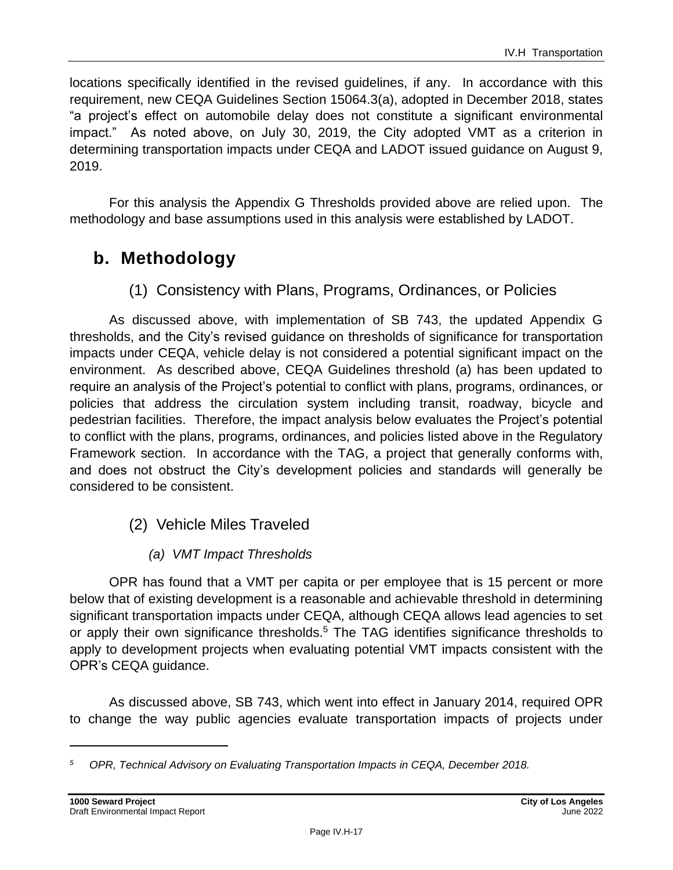locations specifically identified in the revised guidelines, if any. In accordance with this requirement, new CEQA Guidelines Section 15064.3(a), adopted in December 2018, states "a project's effect on automobile delay does not constitute a significant environmental impact." As noted above, on July 30, 2019, the City adopted VMT as a criterion in determining transportation impacts under CEQA and LADOT issued guidance on August 9, 2019.

For this analysis the Appendix G Thresholds provided above are relied upon. The methodology and base assumptions used in this analysis were established by LADOT.

## **b. Methodology**

(1) Consistency with Plans, Programs, Ordinances, or Policies

As discussed above, with implementation of SB 743, the updated Appendix G thresholds, and the City's revised guidance on thresholds of significance for transportation impacts under CEQA, vehicle delay is not considered a potential significant impact on the environment. As described above, CEQA Guidelines threshold (a) has been updated to require an analysis of the Project's potential to conflict with plans, programs, ordinances, or policies that address the circulation system including transit, roadway, bicycle and pedestrian facilities. Therefore, the impact analysis below evaluates the Project's potential to conflict with the plans, programs, ordinances, and policies listed above in the Regulatory Framework section. In accordance with the TAG, a project that generally conforms with, and does not obstruct the City's development policies and standards will generally be considered to be consistent.

- (2) Vehicle Miles Traveled
	- *(a) VMT Impact Thresholds*

OPR has found that a VMT per capita or per employee that is 15 percent or more below that of existing development is a reasonable and achievable threshold in determining significant transportation impacts under CEQA, although CEQA allows lead agencies to set or apply their own significance thresholds.<sup>5</sup> The TAG identifies significance thresholds to apply to development projects when evaluating potential VMT impacts consistent with the OPR's CEQA guidance.

As discussed above, SB 743, which went into effect in January 2014, required OPR to change the way public agencies evaluate transportation impacts of projects under

*<sup>5</sup> OPR, Technical Advisory on Evaluating Transportation Impacts in CEQA, December 2018.*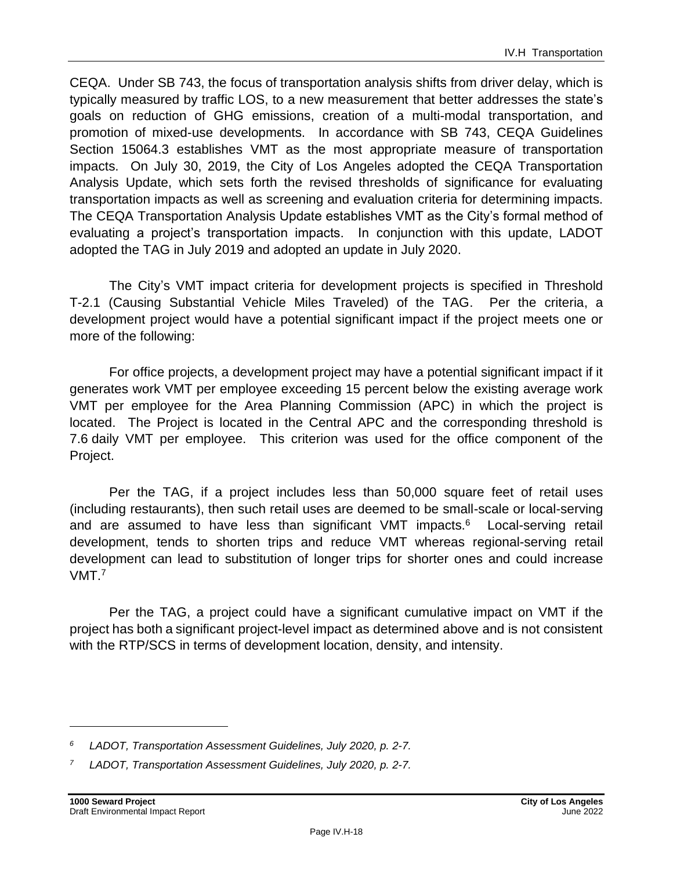CEQA. Under SB 743, the focus of transportation analysis shifts from driver delay, which is typically measured by traffic LOS, to a new measurement that better addresses the state's goals on reduction of GHG emissions, creation of a multi-modal transportation, and promotion of mixed-use developments. In accordance with SB 743, CEQA Guidelines Section 15064.3 establishes VMT as the most appropriate measure of transportation impacts. On July 30, 2019, the City of Los Angeles adopted the CEQA Transportation Analysis Update, which sets forth the revised thresholds of significance for evaluating transportation impacts as well as screening and evaluation criteria for determining impacts. The CEQA Transportation Analysis Update establishes VMT as the City's formal method of evaluating a project's transportation impacts. In conjunction with this update, LADOT adopted the TAG in July 2019 and adopted an update in July 2020.

The City's VMT impact criteria for development projects is specified in Threshold T-2.1 (Causing Substantial Vehicle Miles Traveled) of the TAG. Per the criteria, a development project would have a potential significant impact if the project meets one or more of the following:

For office projects, a development project may have a potential significant impact if it generates work VMT per employee exceeding 15 percent below the existing average work VMT per employee for the Area Planning Commission (APC) in which the project is located. The Project is located in the Central APC and the corresponding threshold is 7.6 daily VMT per employee. This criterion was used for the office component of the Project.

Per the TAG, if a project includes less than 50,000 square feet of retail uses (including restaurants), then such retail uses are deemed to be small-scale or local-serving and are assumed to have less than significant VMT impacts.<sup>6</sup> Local-serving retail development, tends to shorten trips and reduce VMT whereas regional-serving retail development can lead to substitution of longer trips for shorter ones and could increase VMT.<sup>7</sup>

Per the TAG, a project could have a significant cumulative impact on VMT if the project has both a significant project-level impact as determined above and is not consistent with the RTP/SCS in terms of development location, density, and intensity.

*<sup>6</sup> LADOT, Transportation Assessment Guidelines, July 2020, p. 2-7.*

*<sup>7</sup> LADOT, Transportation Assessment Guidelines, July 2020, p. 2-7.*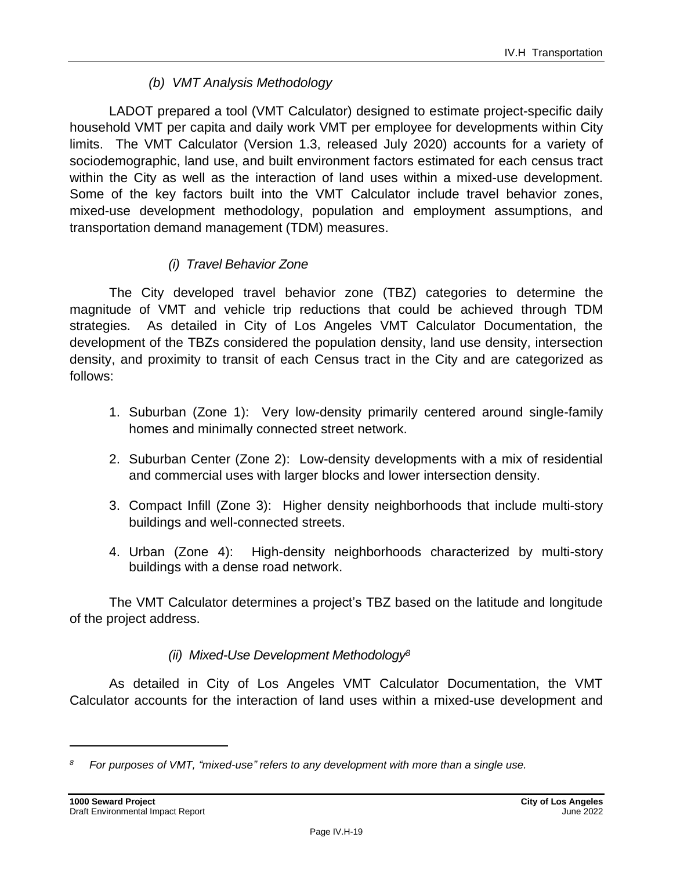### *(b) VMT Analysis Methodology*

LADOT prepared a tool (VMT Calculator) designed to estimate project-specific daily household VMT per capita and daily work VMT per employee for developments within City limits. The VMT Calculator (Version 1.3, released July 2020) accounts for a variety of sociodemographic, land use, and built environment factors estimated for each census tract within the City as well as the interaction of land uses within a mixed-use development. Some of the key factors built into the VMT Calculator include travel behavior zones, mixed-use development methodology, population and employment assumptions, and transportation demand management (TDM) measures.

### *(i) Travel Behavior Zone*

The City developed travel behavior zone (TBZ) categories to determine the magnitude of VMT and vehicle trip reductions that could be achieved through TDM strategies. As detailed in City of Los Angeles VMT Calculator Documentation, the development of the TBZs considered the population density, land use density, intersection density, and proximity to transit of each Census tract in the City and are categorized as follows:

- 1. Suburban (Zone 1): Very low-density primarily centered around single-family homes and minimally connected street network.
- 2. Suburban Center (Zone 2): Low-density developments with a mix of residential and commercial uses with larger blocks and lower intersection density.
- 3. Compact Infill (Zone 3): Higher density neighborhoods that include multi-story buildings and well-connected streets.
- 4. Urban (Zone 4): High-density neighborhoods characterized by multi-story buildings with a dense road network.

The VMT Calculator determines a project's TBZ based on the latitude and longitude of the project address.

### *(ii) Mixed-Use Development Methodology<sup>8</sup>*

As detailed in City of Los Angeles VMT Calculator Documentation, the VMT Calculator accounts for the interaction of land uses within a mixed-use development and

*<sup>8</sup> For purposes of VMT, "mixed-use" refers to any development with more than a single use.*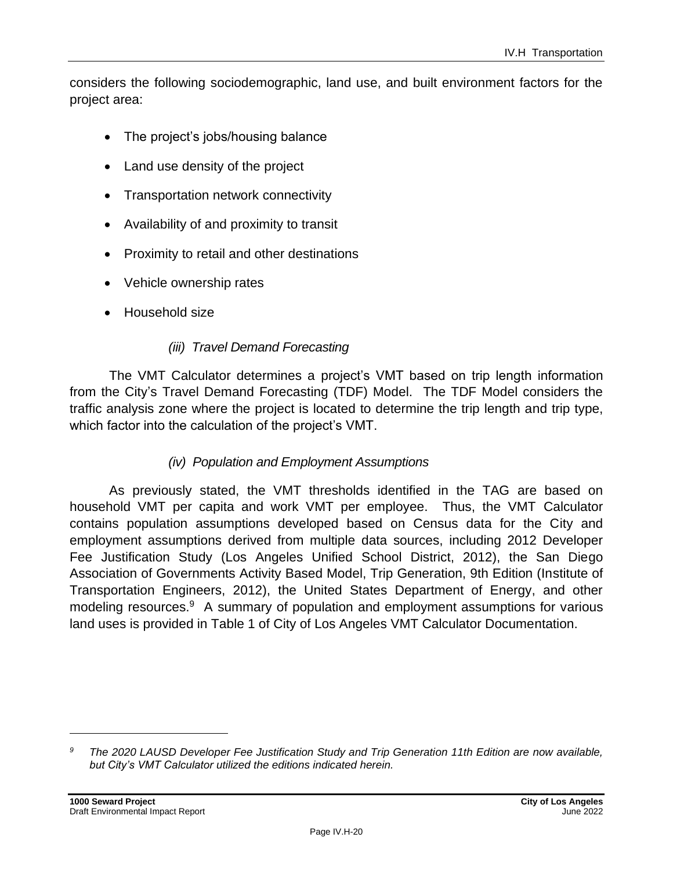considers the following sociodemographic, land use, and built environment factors for the project area:

- The project's jobs/housing balance
- Land use density of the project
- Transportation network connectivity
- Availability of and proximity to transit
- Proximity to retail and other destinations
- Vehicle ownership rates
- Household size

#### *(iii) Travel Demand Forecasting*

The VMT Calculator determines a project's VMT based on trip length information from the City's Travel Demand Forecasting (TDF) Model. The TDF Model considers the traffic analysis zone where the project is located to determine the trip length and trip type, which factor into the calculation of the project's VMT.

#### *(iv) Population and Employment Assumptions*

As previously stated, the VMT thresholds identified in the TAG are based on household VMT per capita and work VMT per employee. Thus, the VMT Calculator contains population assumptions developed based on Census data for the City and employment assumptions derived from multiple data sources, including 2012 Developer Fee Justification Study (Los Angeles Unified School District, 2012), the San Diego Association of Governments Activity Based Model, Trip Generation, 9th Edition (Institute of Transportation Engineers, 2012), the United States Department of Energy, and other modeling resources.<sup>9</sup> A summary of population and employment assumptions for various land uses is provided in Table 1 of City of Los Angeles VMT Calculator Documentation.

*<sup>9</sup> The 2020 LAUSD Developer Fee Justification Study and Trip Generation 11th Edition are now available, but City's VMT Calculator utilized the editions indicated herein.*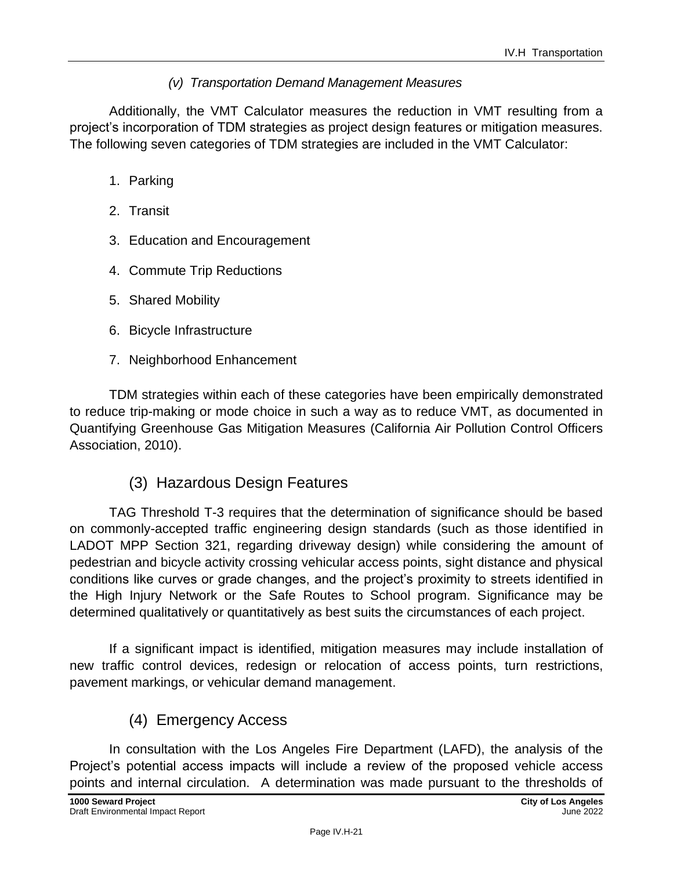### *(v) Transportation Demand Management Measures*

Additionally, the VMT Calculator measures the reduction in VMT resulting from a project's incorporation of TDM strategies as project design features or mitigation measures. The following seven categories of TDM strategies are included in the VMT Calculator:

- 1. Parking
- 2. Transit
- 3. Education and Encouragement
- 4. Commute Trip Reductions
- 5. Shared Mobility
- 6. Bicycle Infrastructure
- 7. Neighborhood Enhancement

TDM strategies within each of these categories have been empirically demonstrated to reduce trip-making or mode choice in such a way as to reduce VMT, as documented in Quantifying Greenhouse Gas Mitigation Measures (California Air Pollution Control Officers Association, 2010).

### (3) Hazardous Design Features

TAG Threshold T-3 requires that the determination of significance should be based on commonly-accepted traffic engineering design standards (such as those identified in LADOT MPP Section 321, regarding driveway design) while considering the amount of pedestrian and bicycle activity crossing vehicular access points, sight distance and physical conditions like curves or grade changes, and the project's proximity to streets identified in the High Injury Network or the Safe Routes to School program. Significance may be determined qualitatively or quantitatively as best suits the circumstances of each project.

If a significant impact is identified, mitigation measures may include installation of new traffic control devices, redesign or relocation of access points, turn restrictions, pavement markings, or vehicular demand management.

## (4) Emergency Access

In consultation with the Los Angeles Fire Department (LAFD), the analysis of the Project's potential access impacts will include a review of the proposed vehicle access points and internal circulation. A determination was made pursuant to the thresholds of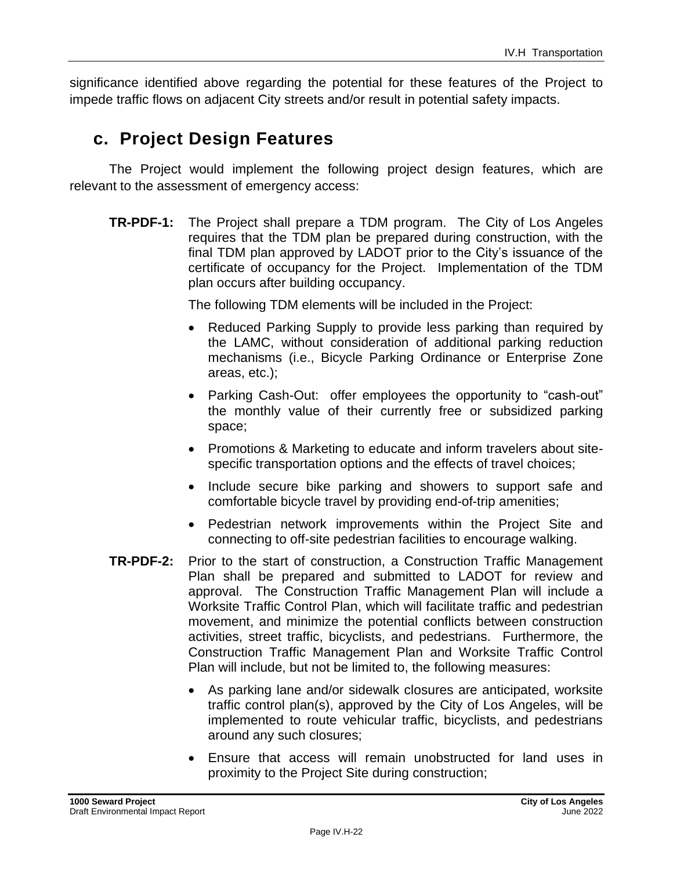significance identified above regarding the potential for these features of the Project to impede traffic flows on adjacent City streets and/or result in potential safety impacts.

## **c. Project Design Features**

The Project would implement the following project design features, which are relevant to the assessment of emergency access:

**TR-PDF-1:** The Project shall prepare a TDM program. The City of Los Angeles requires that the TDM plan be prepared during construction, with the final TDM plan approved by LADOT prior to the City's issuance of the certificate of occupancy for the Project. Implementation of the TDM plan occurs after building occupancy.

The following TDM elements will be included in the Project:

- Reduced Parking Supply to provide less parking than required by the LAMC, without consideration of additional parking reduction mechanisms (i.e., Bicycle Parking Ordinance or Enterprise Zone areas, etc.);
- Parking Cash-Out: offer employees the opportunity to "cash-out" the monthly value of their currently free or subsidized parking space;
- Promotions & Marketing to educate and inform travelers about sitespecific transportation options and the effects of travel choices;
- Include secure bike parking and showers to support safe and comfortable bicycle travel by providing end-of-trip amenities;
- Pedestrian network improvements within the Project Site and connecting to off-site pedestrian facilities to encourage walking.
- **TR-PDF-2:** Prior to the start of construction, a Construction Traffic Management Plan shall be prepared and submitted to LADOT for review and approval. The Construction Traffic Management Plan will include a Worksite Traffic Control Plan, which will facilitate traffic and pedestrian movement, and minimize the potential conflicts between construction activities, street traffic, bicyclists, and pedestrians. Furthermore, the Construction Traffic Management Plan and Worksite Traffic Control Plan will include, but not be limited to, the following measures:
	- As parking lane and/or sidewalk closures are anticipated, worksite traffic control plan(s), approved by the City of Los Angeles, will be implemented to route vehicular traffic, bicyclists, and pedestrians around any such closures;
	- Ensure that access will remain unobstructed for land uses in proximity to the Project Site during construction;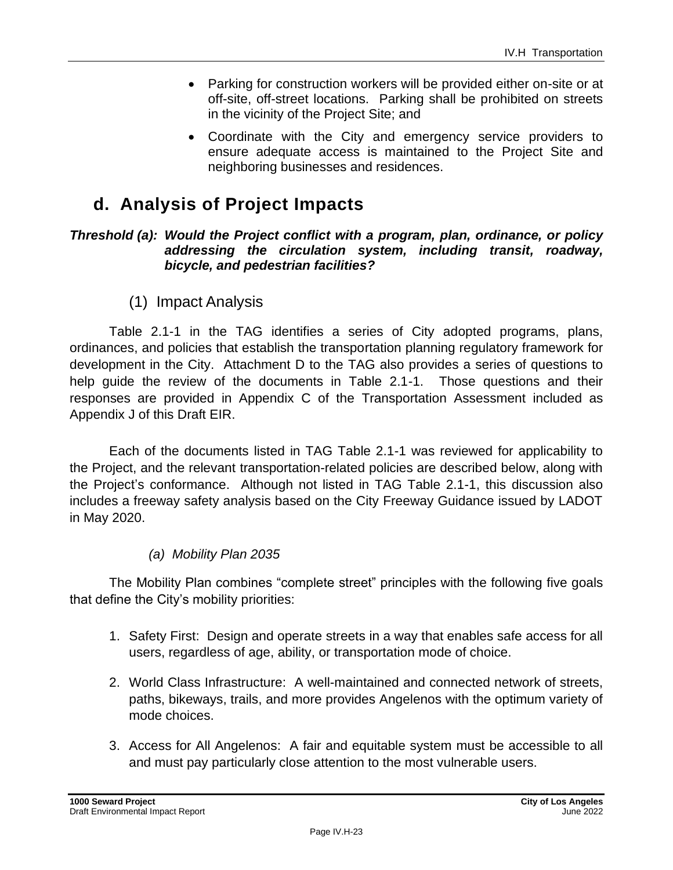- Parking for construction workers will be provided either on-site or at off-site, off-street locations. Parking shall be prohibited on streets in the vicinity of the Project Site; and
- Coordinate with the City and emergency service providers to ensure adequate access is maintained to the Project Site and neighboring businesses and residences.

## **d. Analysis of Project Impacts**

#### *Threshold (a): Would the Project conflict with a program, plan, ordinance, or policy addressing the circulation system, including transit, roadway, bicycle, and pedestrian facilities?*

(1) Impact Analysis

Table 2.1-1 in the TAG identifies a series of City adopted programs, plans, ordinances, and policies that establish the transportation planning regulatory framework for development in the City. Attachment D to the TAG also provides a series of questions to help guide the review of the documents in Table 2.1-1. Those questions and their responses are provided in Appendix C of the Transportation Assessment included as Appendix J of this Draft EIR.

Each of the documents listed in TAG Table 2.1-1 was reviewed for applicability to the Project, and the relevant transportation-related policies are described below, along with the Project's conformance. Although not listed in TAG Table 2.1-1, this discussion also includes a freeway safety analysis based on the City Freeway Guidance issued by LADOT in May 2020.

### *(a) Mobility Plan 2035*

The Mobility Plan combines "complete street" principles with the following five goals that define the City's mobility priorities:

- 1. Safety First: Design and operate streets in a way that enables safe access for all users, regardless of age, ability, or transportation mode of choice.
- 2. World Class Infrastructure: A well-maintained and connected network of streets, paths, bikeways, trails, and more provides Angelenos with the optimum variety of mode choices.
- 3. Access for All Angelenos: A fair and equitable system must be accessible to all and must pay particularly close attention to the most vulnerable users.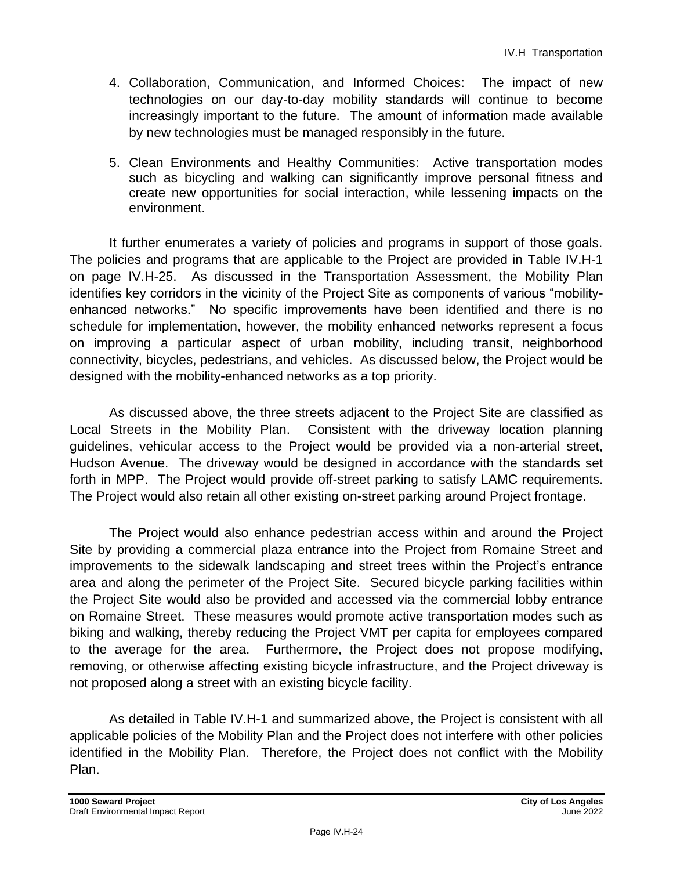- 4. Collaboration, Communication, and Informed Choices: The impact of new technologies on our day-to-day mobility standards will continue to become increasingly important to the future. The amount of information made available by new technologies must be managed responsibly in the future.
- 5. Clean Environments and Healthy Communities: Active transportation modes such as bicycling and walking can significantly improve personal fitness and create new opportunities for social interaction, while lessening impacts on the environment.

It further enumerates a variety of policies and programs in support of those goals. The policies and programs that are applicable to the Project are provided in Table IV.H-1 on page IV.H-25. As discussed in the Transportation Assessment, the Mobility Plan identifies key corridors in the vicinity of the Project Site as components of various "mobilityenhanced networks." No specific improvements have been identified and there is no schedule for implementation, however, the mobility enhanced networks represent a focus on improving a particular aspect of urban mobility, including transit, neighborhood connectivity, bicycles, pedestrians, and vehicles. As discussed below, the Project would be designed with the mobility-enhanced networks as a top priority.

As discussed above, the three streets adjacent to the Project Site are classified as Local Streets in the Mobility Plan. Consistent with the driveway location planning guidelines, vehicular access to the Project would be provided via a non-arterial street, Hudson Avenue. The driveway would be designed in accordance with the standards set forth in MPP. The Project would provide off-street parking to satisfy LAMC requirements. The Project would also retain all other existing on-street parking around Project frontage.

The Project would also enhance pedestrian access within and around the Project Site by providing a commercial plaza entrance into the Project from Romaine Street and improvements to the sidewalk landscaping and street trees within the Project's entrance area and along the perimeter of the Project Site. Secured bicycle parking facilities within the Project Site would also be provided and accessed via the commercial lobby entrance on Romaine Street. These measures would promote active transportation modes such as biking and walking, thereby reducing the Project VMT per capita for employees compared to the average for the area. Furthermore, the Project does not propose modifying, removing, or otherwise affecting existing bicycle infrastructure, and the Project driveway is not proposed along a street with an existing bicycle facility.

As detailed in Table IV.H-1 and summarized above, the Project is consistent with all applicable policies of the Mobility Plan and the Project does not interfere with other policies identified in the Mobility Plan. Therefore, the Project does not conflict with the Mobility Plan.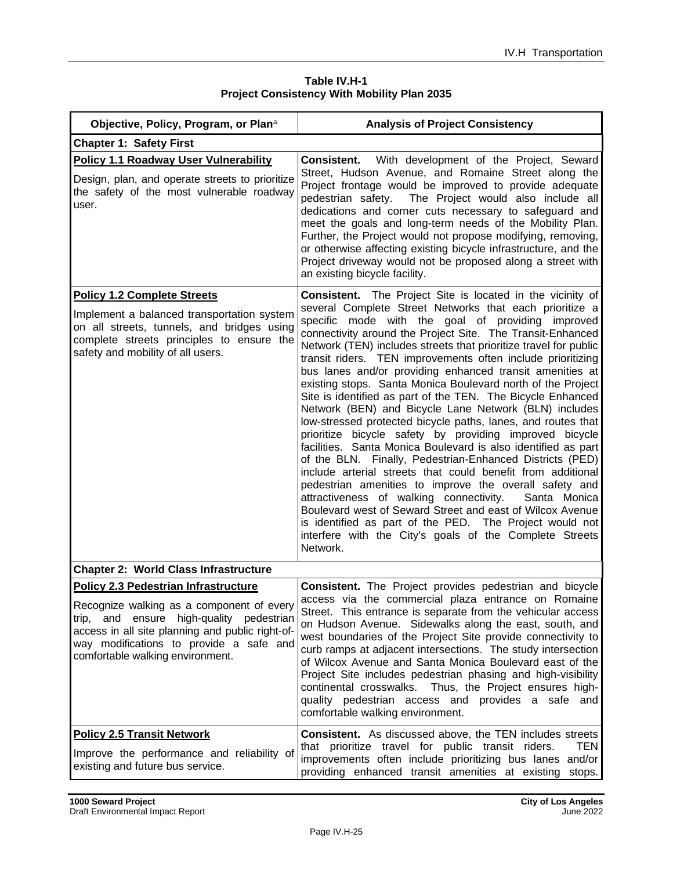| Table IV.H-1                                       |  |  |
|----------------------------------------------------|--|--|
| <b>Project Consistency With Mobility Plan 2035</b> |  |  |

| Objective, Policy, Program, or Plana                                                                                                                                                                                                                                          | <b>Analysis of Project Consistency</b>                                                                                                                                                                                                                                                                                                                                                                                                                                                                                                                                                                                                                                                                                                                                                                                                                                                                                                                                                                                                                                                                                                                                                                                                                                           |
|-------------------------------------------------------------------------------------------------------------------------------------------------------------------------------------------------------------------------------------------------------------------------------|----------------------------------------------------------------------------------------------------------------------------------------------------------------------------------------------------------------------------------------------------------------------------------------------------------------------------------------------------------------------------------------------------------------------------------------------------------------------------------------------------------------------------------------------------------------------------------------------------------------------------------------------------------------------------------------------------------------------------------------------------------------------------------------------------------------------------------------------------------------------------------------------------------------------------------------------------------------------------------------------------------------------------------------------------------------------------------------------------------------------------------------------------------------------------------------------------------------------------------------------------------------------------------|
| <b>Chapter 1: Safety First</b>                                                                                                                                                                                                                                                |                                                                                                                                                                                                                                                                                                                                                                                                                                                                                                                                                                                                                                                                                                                                                                                                                                                                                                                                                                                                                                                                                                                                                                                                                                                                                  |
| <b>Policy 1.1 Roadway User Vulnerability</b><br>Design, plan, and operate streets to prioritize<br>the safety of the most vulnerable roadway<br>user.                                                                                                                         | <b>Consistent.</b> With development of the Project, Seward<br>Street, Hudson Avenue, and Romaine Street along the<br>Project frontage would be improved to provide adequate<br>The Project would also include all<br>pedestrian safety.<br>dedications and corner cuts necessary to safeguard and<br>meet the goals and long-term needs of the Mobility Plan.<br>Further, the Project would not propose modifying, removing,<br>or otherwise affecting existing bicycle infrastructure, and the<br>Project driveway would not be proposed along a street with<br>an existing bicycle facility.                                                                                                                                                                                                                                                                                                                                                                                                                                                                                                                                                                                                                                                                                   |
| <b>Policy 1.2 Complete Streets</b><br>Implement a balanced transportation system<br>on all streets, tunnels, and bridges using<br>complete streets principles to ensure the<br>safety and mobility of all users.                                                              | <b>Consistent.</b> The Project Site is located in the vicinity of<br>several Complete Street Networks that each prioritize a<br>specific mode with the goal of providing improved<br>connectivity around the Project Site. The Transit-Enhanced<br>Network (TEN) includes streets that prioritize travel for public<br>transit riders. TEN improvements often include prioritizing<br>bus lanes and/or providing enhanced transit amenities at<br>existing stops. Santa Monica Boulevard north of the Project<br>Site is identified as part of the TEN. The Bicycle Enhanced<br>Network (BEN) and Bicycle Lane Network (BLN) includes<br>low-stressed protected bicycle paths, lanes, and routes that<br>prioritize bicycle safety by providing improved bicycle<br>facilities. Santa Monica Boulevard is also identified as part<br>of the BLN. Finally, Pedestrian-Enhanced Districts (PED)<br>include arterial streets that could benefit from additional<br>pedestrian amenities to improve the overall safety and<br>attractiveness of walking connectivity.<br>Santa Monica<br>Boulevard west of Seward Street and east of Wilcox Avenue<br>is identified as part of the PED. The Project would not<br>interfere with the City's goals of the Complete Streets<br>Network. |
| <b>Chapter 2: World Class Infrastructure</b>                                                                                                                                                                                                                                  |                                                                                                                                                                                                                                                                                                                                                                                                                                                                                                                                                                                                                                                                                                                                                                                                                                                                                                                                                                                                                                                                                                                                                                                                                                                                                  |
| <b>Policy 2.3 Pedestrian Infrastructure</b><br>Recognize walking as a component of every<br>high-quality pedestrian<br>and ensure<br>trip,<br>access in all site planning and public right-of-<br>way modifications to provide a safe and<br>comfortable walking environment. | <b>Consistent.</b> The Project provides pedestrian and bicycle<br>access via the commercial plaza entrance on Romaine<br>Street. This entrance is separate from the vehicular access<br>on Hudson Avenue. Sidewalks along the east, south, and<br>west boundaries of the Project Site provide connectivity to<br>curb ramps at adjacent intersections. The study intersection<br>of Wilcox Avenue and Santa Monica Boulevard east of the<br>Project Site includes pedestrian phasing and high-visibility<br>continental crosswalks. Thus, the Project ensures high-<br>quality pedestrian access and provides a safe and<br>comfortable walking environment.                                                                                                                                                                                                                                                                                                                                                                                                                                                                                                                                                                                                                     |
| <b>Policy 2.5 Transit Network</b><br>Improve the performance and reliability of<br>existing and future bus service.                                                                                                                                                           | <b>Consistent.</b> As discussed above, the TEN includes streets<br>that prioritize travel for public transit riders.<br>TEN<br>improvements often include prioritizing bus lanes and/or<br>providing enhanced transit amenities at existing stops.                                                                                                                                                                                                                                                                                                                                                                                                                                                                                                                                                                                                                                                                                                                                                                                                                                                                                                                                                                                                                               |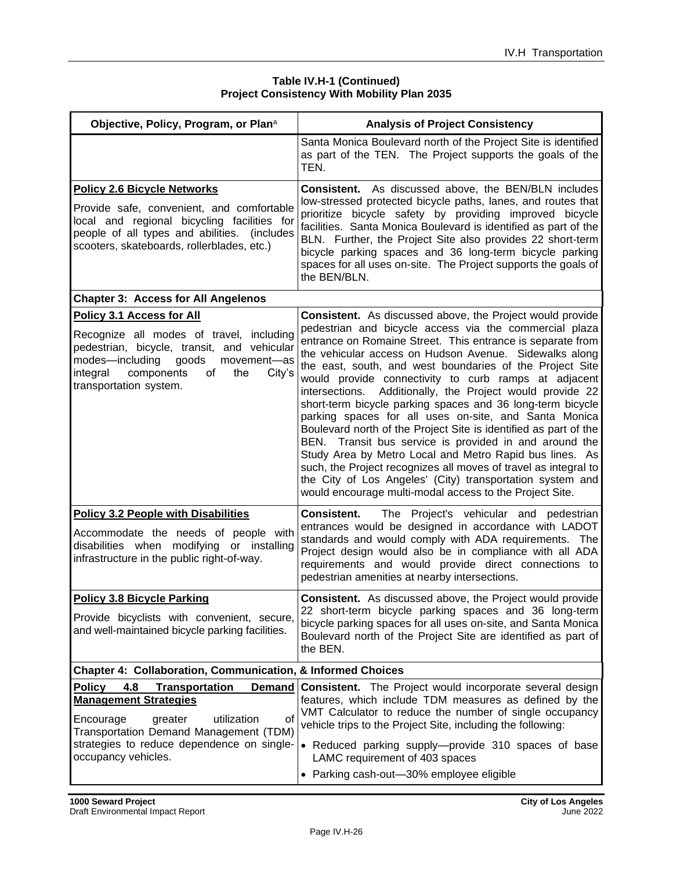#### **Table IV.H-1 (Continued) Project Consistency With Mobility Plan 2035**

| Objective, Policy, Program, or Plana                                                                                                                                                                                                         | <b>Analysis of Project Consistency</b>                                                                                                                                                                                                                                                                                                                                                                                                                                                                                                                                                                                                                                                                                                                                                                                                                                                                                                         |
|----------------------------------------------------------------------------------------------------------------------------------------------------------------------------------------------------------------------------------------------|------------------------------------------------------------------------------------------------------------------------------------------------------------------------------------------------------------------------------------------------------------------------------------------------------------------------------------------------------------------------------------------------------------------------------------------------------------------------------------------------------------------------------------------------------------------------------------------------------------------------------------------------------------------------------------------------------------------------------------------------------------------------------------------------------------------------------------------------------------------------------------------------------------------------------------------------|
|                                                                                                                                                                                                                                              | Santa Monica Boulevard north of the Project Site is identified<br>as part of the TEN. The Project supports the goals of the<br>TEN.                                                                                                                                                                                                                                                                                                                                                                                                                                                                                                                                                                                                                                                                                                                                                                                                            |
| <b>Policy 2.6 Bicycle Networks</b><br>Provide safe, convenient, and comfortable<br>local and regional bicycling facilities for<br>people of all types and abilities.<br>(includes<br>scooters, skateboards, rollerblades, etc.)              | <b>Consistent.</b> As discussed above, the BEN/BLN includes<br>low-stressed protected bicycle paths, lanes, and routes that<br>prioritize bicycle safety by providing improved bicycle<br>facilities. Santa Monica Boulevard is identified as part of the<br>BLN. Further, the Project Site also provides 22 short-term<br>bicycle parking spaces and 36 long-term bicycle parking<br>spaces for all uses on-site. The Project supports the goals of<br>the BEN/BLN.                                                                                                                                                                                                                                                                                                                                                                                                                                                                           |
| <b>Chapter 3: Access for All Angelenos</b>                                                                                                                                                                                                   |                                                                                                                                                                                                                                                                                                                                                                                                                                                                                                                                                                                                                                                                                                                                                                                                                                                                                                                                                |
| Policy 3.1 Access for All<br>Recognize all modes of travel, including<br>pedestrian, bicycle, transit, and vehicular<br>modes-including<br>goods<br>movement-as<br>integral<br>components<br>the<br>City's<br>of<br>transportation system.   | <b>Consistent.</b> As discussed above, the Project would provide<br>pedestrian and bicycle access via the commercial plaza<br>entrance on Romaine Street. This entrance is separate from<br>the vehicular access on Hudson Avenue. Sidewalks along<br>the east, south, and west boundaries of the Project Site<br>would provide connectivity to curb ramps at adjacent<br>intersections. Additionally, the Project would provide 22<br>short-term bicycle parking spaces and 36 long-term bicycle<br>parking spaces for all uses on-site, and Santa Monica<br>Boulevard north of the Project Site is identified as part of the<br>BEN. Transit bus service is provided in and around the<br>Study Area by Metro Local and Metro Rapid bus lines. As<br>such, the Project recognizes all moves of travel as integral to<br>the City of Los Angeles' (City) transportation system and<br>would encourage multi-modal access to the Project Site. |
| <b>Policy 3.2 People with Disabilities</b><br>Accommodate the needs of people with<br>disabilities when modifying or installing<br>infrastructure in the public right-of-way.                                                                | The Project's vehicular and pedestrian<br><b>Consistent.</b><br>entrances would be designed in accordance with LADOT<br>standards and would comply with ADA requirements. The<br>Project design would also be in compliance with all ADA<br>requirements and would provide direct connections to<br>pedestrian amenities at nearby intersections.                                                                                                                                                                                                                                                                                                                                                                                                                                                                                                                                                                                              |
| <b>Policy 3.8 Bicycle Parking</b><br>Provide bicyclists with convenient, secure,<br>and well-maintained bicycle parking facilities.                                                                                                          | <b>Consistent.</b> As discussed above, the Project would provide<br>22 short-term bicycle parking spaces and 36 long-term<br>bicycle parking spaces for all uses on-site, and Santa Monica<br>Boulevard north of the Project Site are identified as part of<br>the BEN.                                                                                                                                                                                                                                                                                                                                                                                                                                                                                                                                                                                                                                                                        |
| <b>Chapter 4: Collaboration, Communication, &amp; Informed Choices</b>                                                                                                                                                                       |                                                                                                                                                                                                                                                                                                                                                                                                                                                                                                                                                                                                                                                                                                                                                                                                                                                                                                                                                |
| Policy<br>4.8<br><b>Transportation</b><br>Demand<br><b>Management Strategies</b><br>utilization<br>0f<br>Encourage<br>greater<br>Transportation Demand Management (TDM)<br>strategies to reduce dependence on single-<br>occupancy vehicles. | <b>Consistent.</b> The Project would incorporate several design<br>features, which include TDM measures as defined by the<br>VMT Calculator to reduce the number of single occupancy<br>vehicle trips to the Project Site, including the following:<br>• Reduced parking supply-provide 310 spaces of base<br>LAMC requirement of 403 spaces<br>• Parking cash-out-30% employee eligible                                                                                                                                                                                                                                                                                                                                                                                                                                                                                                                                                       |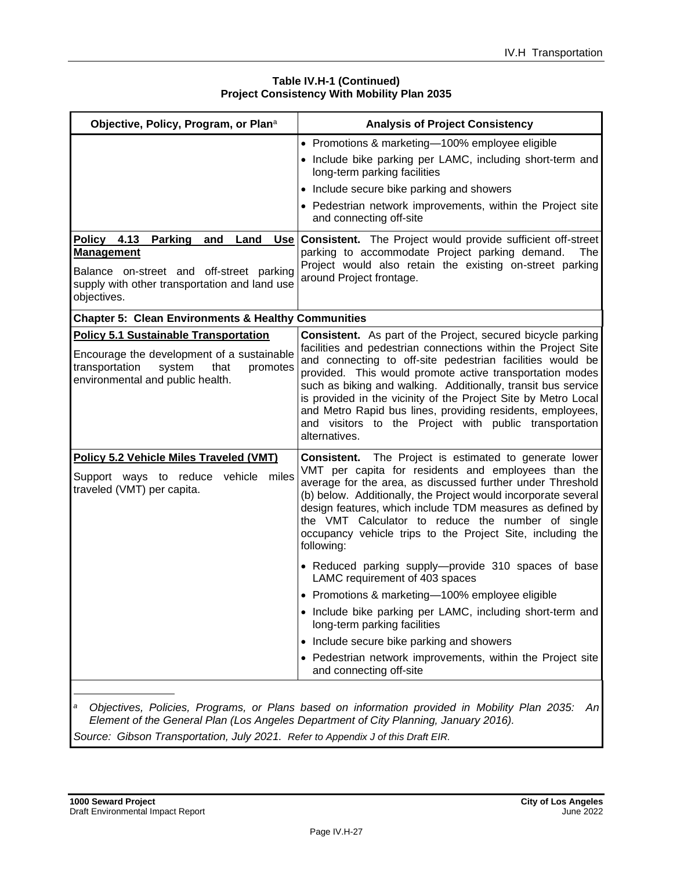#### **Table IV.H-1 (Continued) Project Consistency With Mobility Plan 2035**

| Objective, Policy, Program, or Plana                                                                                           | <b>Analysis of Project Consistency</b>                                                                                                                                                                                                                                                                                                                                                                                                                             |  |  |
|--------------------------------------------------------------------------------------------------------------------------------|--------------------------------------------------------------------------------------------------------------------------------------------------------------------------------------------------------------------------------------------------------------------------------------------------------------------------------------------------------------------------------------------------------------------------------------------------------------------|--|--|
|                                                                                                                                | • Promotions & marketing-100% employee eligible<br>• Include bike parking per LAMC, including short-term and<br>long-term parking facilities                                                                                                                                                                                                                                                                                                                       |  |  |
|                                                                                                                                | • Include secure bike parking and showers                                                                                                                                                                                                                                                                                                                                                                                                                          |  |  |
|                                                                                                                                | • Pedestrian network improvements, within the Project site<br>and connecting off-site                                                                                                                                                                                                                                                                                                                                                                              |  |  |
| Land<br><b>Policy 4.13</b><br><b>Parking</b><br>and                                                                            | <b>Use Consistent.</b> The Project would provide sufficient off-street                                                                                                                                                                                                                                                                                                                                                                                             |  |  |
| <b>Management</b>                                                                                                              | parking to accommodate Project parking demand.<br>The<br>Project would also retain the existing on-street parking                                                                                                                                                                                                                                                                                                                                                  |  |  |
| Balance on-street and off-street parking<br>supply with other transportation and land use<br>objectives.                       | around Project frontage.                                                                                                                                                                                                                                                                                                                                                                                                                                           |  |  |
| <b>Chapter 5: Clean Environments &amp; Healthy Communities</b>                                                                 |                                                                                                                                                                                                                                                                                                                                                                                                                                                                    |  |  |
| <b>Policy 5.1 Sustainable Transportation</b>                                                                                   | <b>Consistent.</b> As part of the Project, secured bicycle parking                                                                                                                                                                                                                                                                                                                                                                                                 |  |  |
| Encourage the development of a sustainable<br>transportation<br>that<br>system<br>promotes<br>environmental and public health. | facilities and pedestrian connections within the Project Site<br>and connecting to off-site pedestrian facilities would be<br>provided. This would promote active transportation modes<br>such as biking and walking. Additionally, transit bus service<br>is provided in the vicinity of the Project Site by Metro Local<br>and Metro Rapid bus lines, providing residents, employees,<br>and visitors to the Project with public transportation<br>alternatives. |  |  |
| Policy 5.2 Vehicle Miles Traveled (VMT)                                                                                        | <b>Consistent.</b> The Project is estimated to generate lower                                                                                                                                                                                                                                                                                                                                                                                                      |  |  |
| Support ways to reduce vehicle miles<br>traveled (VMT) per capita.                                                             | VMT per capita for residents and employees than the<br>average for the area, as discussed further under Threshold<br>(b) below. Additionally, the Project would incorporate several<br>design features, which include TDM measures as defined by<br>the VMT Calculator to reduce the number of single<br>occupancy vehicle trips to the Project Site, including the<br>following:                                                                                  |  |  |
|                                                                                                                                | • Reduced parking supply--provide 310 spaces of base<br>LAMC requirement of 403 spaces                                                                                                                                                                                                                                                                                                                                                                             |  |  |
|                                                                                                                                | • Promotions & marketing-100% employee eligible                                                                                                                                                                                                                                                                                                                                                                                                                    |  |  |
|                                                                                                                                | Include bike parking per LAMC, including short-term and<br>long-term parking facilities                                                                                                                                                                                                                                                                                                                                                                            |  |  |
|                                                                                                                                | Include secure bike parking and showers<br>$\bullet$                                                                                                                                                                                                                                                                                                                                                                                                               |  |  |
|                                                                                                                                | • Pedestrian network improvements, within the Project site<br>and connecting off-site                                                                                                                                                                                                                                                                                                                                                                              |  |  |
| а                                                                                                                              | Objectives, Policies, Programs, or Plans based on information provided in Mobility Plan 2035:<br>Anl<br>Element of the General Plan (Los Angeles Department of City Planning, January 2016).                                                                                                                                                                                                                                                                       |  |  |

*Source: Gibson Transportation, July 2021. Refer to Appendix J of this Draft EIR.*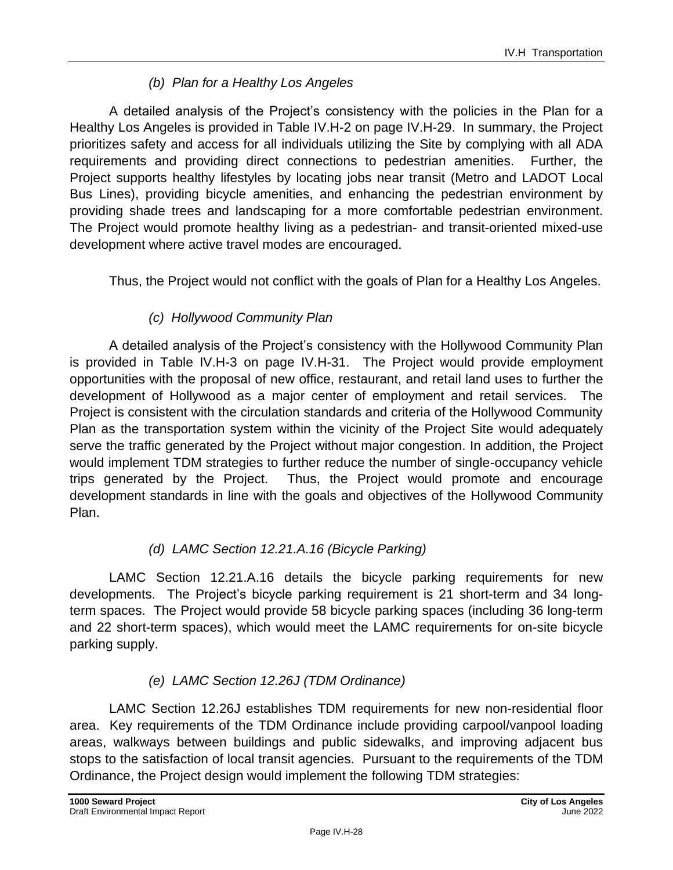### *(b) Plan for a Healthy Los Angeles*

A detailed analysis of the Project's consistency with the policies in the Plan for a Healthy Los Angeles is provided in Table IV.H-2 on page IV.H-29. In summary, the Project prioritizes safety and access for all individuals utilizing the Site by complying with all ADA requirements and providing direct connections to pedestrian amenities. Further, the Project supports healthy lifestyles by locating jobs near transit (Metro and LADOT Local Bus Lines), providing bicycle amenities, and enhancing the pedestrian environment by providing shade trees and landscaping for a more comfortable pedestrian environment. The Project would promote healthy living as a pedestrian- and transit-oriented mixed-use development where active travel modes are encouraged.

Thus, the Project would not conflict with the goals of Plan for a Healthy Los Angeles.

### *(c) Hollywood Community Plan*

A detailed analysis of the Project's consistency with the Hollywood Community Plan is provided in Table IV.H-3 on page IV.H-31. The Project would provide employment opportunities with the proposal of new office, restaurant, and retail land uses to further the development of Hollywood as a major center of employment and retail services. The Project is consistent with the circulation standards and criteria of the Hollywood Community Plan as the transportation system within the vicinity of the Project Site would adequately serve the traffic generated by the Project without major congestion. In addition, the Project would implement TDM strategies to further reduce the number of single-occupancy vehicle trips generated by the Project. Thus, the Project would promote and encourage development standards in line with the goals and objectives of the Hollywood Community Plan.

### *(d) LAMC Section 12.21.A.16 (Bicycle Parking)*

LAMC Section 12.21.A.16 details the bicycle parking requirements for new developments. The Project's bicycle parking requirement is 21 short-term and 34 longterm spaces. The Project would provide 58 bicycle parking spaces (including 36 long-term and 22 short-term spaces), which would meet the LAMC requirements for on-site bicycle parking supply.

### *(e) LAMC Section 12.26J (TDM Ordinance)*

LAMC Section 12.26J establishes TDM requirements for new non-residential floor area. Key requirements of the TDM Ordinance include providing carpool/vanpool loading areas, walkways between buildings and public sidewalks, and improving adjacent bus stops to the satisfaction of local transit agencies. Pursuant to the requirements of the TDM Ordinance, the Project design would implement the following TDM strategies: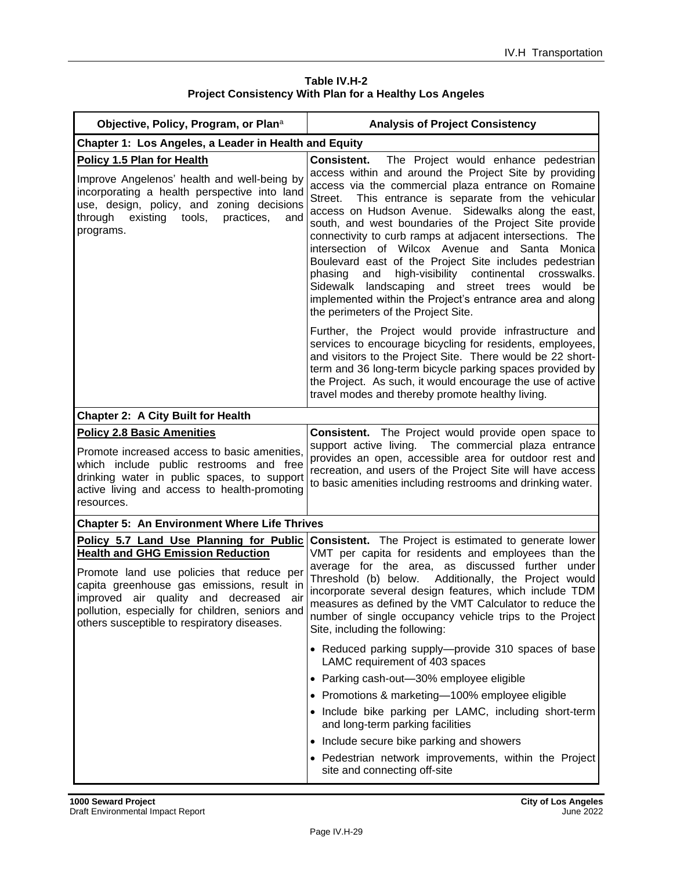| Table IV.H-2                                                   |  |  |
|----------------------------------------------------------------|--|--|
| <b>Project Consistency With Plan for a Healthy Los Angeles</b> |  |  |

| Objective, Policy, Program, or Plana                                                                                                                                                                                                                                                                                          | <b>Analysis of Project Consistency</b>                                                                                                                                                                                                                                                                                                                                                                                                                                                                                                                                                                                                                                                                                                                  |
|-------------------------------------------------------------------------------------------------------------------------------------------------------------------------------------------------------------------------------------------------------------------------------------------------------------------------------|---------------------------------------------------------------------------------------------------------------------------------------------------------------------------------------------------------------------------------------------------------------------------------------------------------------------------------------------------------------------------------------------------------------------------------------------------------------------------------------------------------------------------------------------------------------------------------------------------------------------------------------------------------------------------------------------------------------------------------------------------------|
| Chapter 1: Los Angeles, a Leader in Health and Equity                                                                                                                                                                                                                                                                         |                                                                                                                                                                                                                                                                                                                                                                                                                                                                                                                                                                                                                                                                                                                                                         |
| Policy 1.5 Plan for Health<br>Improve Angelenos' health and well-being by<br>incorporating a health perspective into land<br>use, design, policy, and zoning decisions<br>existing tools,<br>through<br>practices,<br>and<br>programs.                                                                                        | <b>Consistent.</b><br>The Project would enhance pedestrian<br>access within and around the Project Site by providing<br>access via the commercial plaza entrance on Romaine<br>This entrance is separate from the vehicular<br>Street.<br>access on Hudson Avenue. Sidewalks along the east,<br>south, and west boundaries of the Project Site provide<br>connectivity to curb ramps at adjacent intersections. The<br>intersection of Wilcox Avenue and Santa Monica<br>Boulevard east of the Project Site includes pedestrian<br>high-visibility continental<br>and<br>phasing<br>crosswalks.<br>Sidewalk landscaping and street trees<br>would be<br>implemented within the Project's entrance area and along<br>the perimeters of the Project Site. |
|                                                                                                                                                                                                                                                                                                                               | Further, the Project would provide infrastructure and<br>services to encourage bicycling for residents, employees,<br>and visitors to the Project Site. There would be 22 short-<br>term and 36 long-term bicycle parking spaces provided by<br>the Project. As such, it would encourage the use of active<br>travel modes and thereby promote healthy living.                                                                                                                                                                                                                                                                                                                                                                                          |
| <b>Chapter 2: A City Built for Health</b>                                                                                                                                                                                                                                                                                     |                                                                                                                                                                                                                                                                                                                                                                                                                                                                                                                                                                                                                                                                                                                                                         |
| <b>Policy 2.8 Basic Amenities</b><br>Promote increased access to basic amenities,<br>which include public restrooms and free<br>drinking water in public spaces, to support<br>active living and access to health-promoting<br>resources.                                                                                     | <b>Consistent.</b> The Project would provide open space to<br>support active living. The commercial plaza entrance<br>provides an open, accessible area for outdoor rest and<br>recreation, and users of the Project Site will have access<br>to basic amenities including restrooms and drinking water.                                                                                                                                                                                                                                                                                                                                                                                                                                                |
| <b>Chapter 5: An Environment Where Life Thrives</b>                                                                                                                                                                                                                                                                           |                                                                                                                                                                                                                                                                                                                                                                                                                                                                                                                                                                                                                                                                                                                                                         |
| Policy 5.7 Land Use Planning for Public<br><b>Health and GHG Emission Reduction</b><br>Promote land use policies that reduce per<br>capita greenhouse gas emissions, result in<br>improved air quality and decreased<br>air<br>pollution, especially for children, seniors and<br>others susceptible to respiratory diseases. | <b>Consistent.</b> The Project is estimated to generate lower<br>VMT per capita for residents and employees than the<br>average for the area, as discussed further under<br>Threshold (b) below. Additionally, the Project would<br>incorporate several design features, which include TDM<br>measures as defined by the VMT Calculator to reduce the<br>number of single occupancy vehicle trips to the Project<br>Site, including the following:                                                                                                                                                                                                                                                                                                      |
|                                                                                                                                                                                                                                                                                                                               | • Reduced parking supply—provide 310 spaces of base<br>LAMC requirement of 403 spaces<br>• Parking cash-out-30% employee eligible<br>• Promotions & marketing-100% employee eligible<br>• Include bike parking per LAMC, including short-term<br>and long-term parking facilities<br>• Include secure bike parking and showers<br>• Pedestrian network improvements, within the Project<br>site and connecting off-site                                                                                                                                                                                                                                                                                                                                 |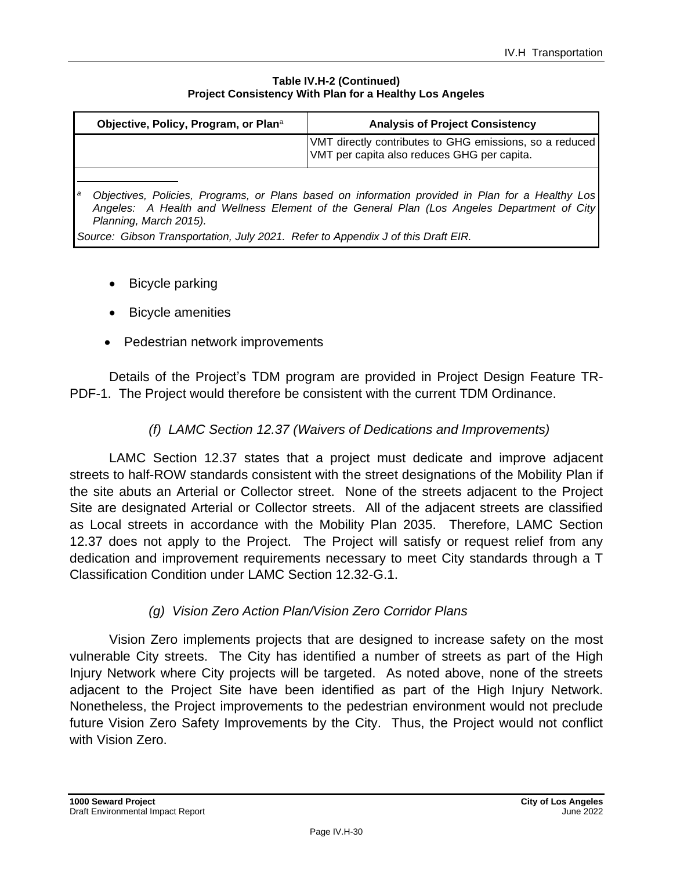#### **Table IV.H-2 (Continued) Project Consistency With Plan for a Healthy Los Angeles**

| Objective, Policy, Program, or Plan <sup>a</sup>                                                                                                                                                                                                                                                                   | <b>Analysis of Project Consistency</b>                                                                 |  |
|--------------------------------------------------------------------------------------------------------------------------------------------------------------------------------------------------------------------------------------------------------------------------------------------------------------------|--------------------------------------------------------------------------------------------------------|--|
|                                                                                                                                                                                                                                                                                                                    | VMT directly contributes to GHG emissions, so a reduced<br>VMT per capita also reduces GHG per capita. |  |
| Objectives, Policies, Programs, or Plans based on information provided in Plan for a Healthy Los<br>а<br>Angeles: A Health and Wellness Element of the General Plan (Los Angeles Department of City)<br>Planning, March 2015).<br>Source: Gibson Transportation, July 2021. Refer to Appendix J of this Draft EIR. |                                                                                                        |  |

- **Bicycle parking**
- Bicycle amenities
- Pedestrian network improvements

Details of the Project's TDM program are provided in Project Design Feature TR-PDF-1. The Project would therefore be consistent with the current TDM Ordinance.

### *(f) LAMC Section 12.37 (Waivers of Dedications and Improvements)*

LAMC Section 12.37 states that a project must dedicate and improve adjacent streets to half-ROW standards consistent with the street designations of the Mobility Plan if the site abuts an Arterial or Collector street. None of the streets adjacent to the Project Site are designated Arterial or Collector streets. All of the adjacent streets are classified as Local streets in accordance with the Mobility Plan 2035. Therefore, LAMC Section 12.37 does not apply to the Project. The Project will satisfy or request relief from any dedication and improvement requirements necessary to meet City standards through a T Classification Condition under LAMC Section 12.32-G.1.

### *(g) Vision Zero Action Plan/Vision Zero Corridor Plans*

Vision Zero implements projects that are designed to increase safety on the most vulnerable City streets. The City has identified a number of streets as part of the High Injury Network where City projects will be targeted. As noted above, none of the streets adjacent to the Project Site have been identified as part of the High Injury Network. Nonetheless, the Project improvements to the pedestrian environment would not preclude future Vision Zero Safety Improvements by the City. Thus, the Project would not conflict with Vision Zero.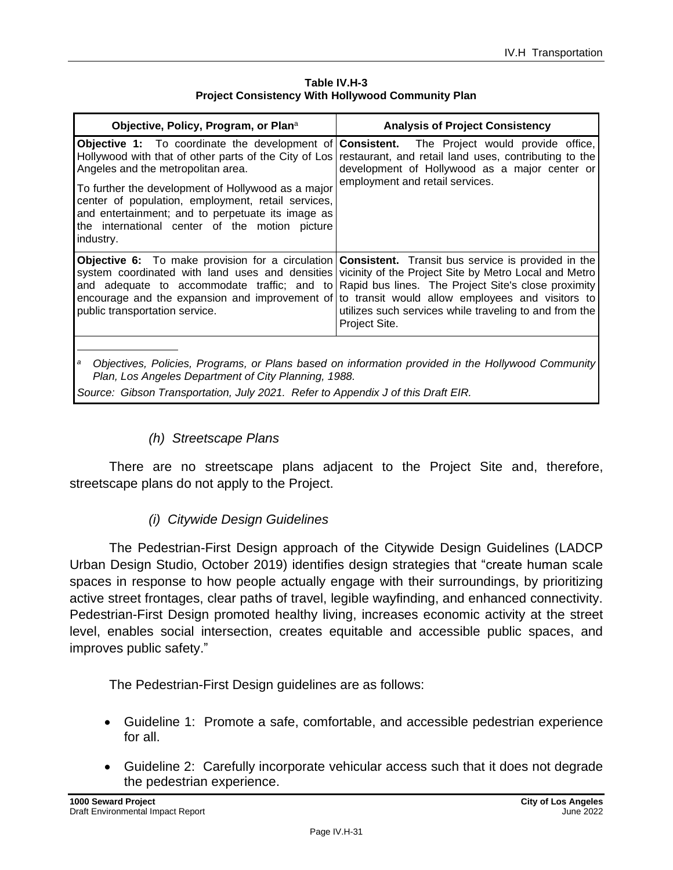| Objective, Policy, Program, or Plan <sup>a</sup>                                                                                                                                                                                                                                                                            | <b>Analysis of Project Consistency</b>                                                                                                                                                                                                                                                                                                                                                                                                                                                                      |
|-----------------------------------------------------------------------------------------------------------------------------------------------------------------------------------------------------------------------------------------------------------------------------------------------------------------------------|-------------------------------------------------------------------------------------------------------------------------------------------------------------------------------------------------------------------------------------------------------------------------------------------------------------------------------------------------------------------------------------------------------------------------------------------------------------------------------------------------------------|
| Hollywood with that of other parts of the City of Los<br>Angeles and the metropolitan area.<br>To further the development of Hollywood as a major<br>center of population, employment, retail services,<br>and entertainment; and to perpetuate its image as<br>the international center of the motion picture<br>industry. | <b>Objective 1:</b> To coordinate the development of <b>Consistent.</b> The Project would provide office,<br>restaurant, and retail land uses, contributing to the<br>development of Hollywood as a major center or<br>employment and retail services.                                                                                                                                                                                                                                                      |
| public transportation service.                                                                                                                                                                                                                                                                                              | <b>Objective 6:</b> To make provision for a circulation <b>Consistent.</b> Transit bus service is provided in the<br>system coordinated with land uses and densities vicinity of the Project Site by Metro Local and Metro<br>and adequate to accommodate traffic; and to Rapid bus lines. The Project Site's close proximity<br>encourage and the expansion and improvement of to transit would allow employees and visitors to<br>utilizes such services while traveling to and from the<br>Project Site. |

#### **Table IV.H-3 Project Consistency With Hollywood Community Plan**

*<sup>a</sup> Objectives, Policies, Programs, or Plans based on information provided in the Hollywood Community Plan, Los Angeles Department of City Planning, 1988.*

*Source: Gibson Transportation, July 2021. Refer to Appendix J of this Draft EIR.*

#### *(h) Streetscape Plans*

There are no streetscape plans adjacent to the Project Site and, therefore, streetscape plans do not apply to the Project.

### *(i) Citywide Design Guidelines*

The Pedestrian-First Design approach of the Citywide Design Guidelines (LADCP Urban Design Studio, October 2019) identifies design strategies that "create human scale spaces in response to how people actually engage with their surroundings, by prioritizing active street frontages, clear paths of travel, legible wayfinding, and enhanced connectivity. Pedestrian-First Design promoted healthy living, increases economic activity at the street level, enables social intersection, creates equitable and accessible public spaces, and improves public safety."

The Pedestrian-First Design guidelines are as follows:

- Guideline 1: Promote a safe, comfortable, and accessible pedestrian experience for all.
- Guideline 2: Carefully incorporate vehicular access such that it does not degrade the pedestrian experience.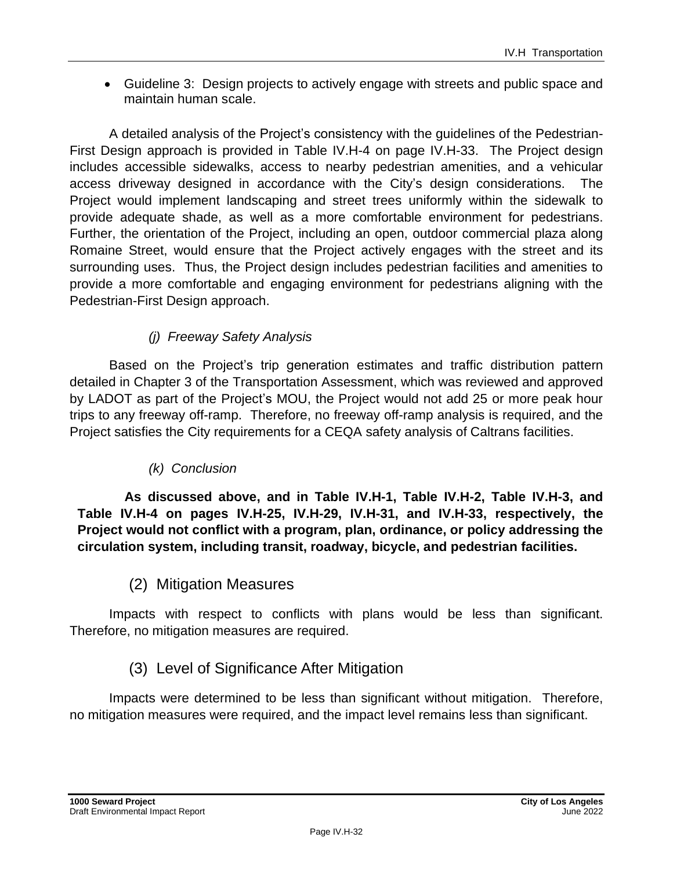• Guideline 3: Design projects to actively engage with streets and public space and maintain human scale.

A detailed analysis of the Project's consistency with the guidelines of the Pedestrian-First Design approach is provided in Table IV.H-4 on page IV.H-33. The Project design includes accessible sidewalks, access to nearby pedestrian amenities, and a vehicular access driveway designed in accordance with the City's design considerations. The Project would implement landscaping and street trees uniformly within the sidewalk to provide adequate shade, as well as a more comfortable environment for pedestrians. Further, the orientation of the Project, including an open, outdoor commercial plaza along Romaine Street, would ensure that the Project actively engages with the street and its surrounding uses. Thus, the Project design includes pedestrian facilities and amenities to provide a more comfortable and engaging environment for pedestrians aligning with the Pedestrian-First Design approach.

### *(j) Freeway Safety Analysis*

Based on the Project's trip generation estimates and traffic distribution pattern detailed in Chapter 3 of the Transportation Assessment, which was reviewed and approved by LADOT as part of the Project's MOU, the Project would not add 25 or more peak hour trips to any freeway off-ramp. Therefore, no freeway off-ramp analysis is required, and the Project satisfies the City requirements for a CEQA safety analysis of Caltrans facilities.

### *(k) Conclusion*

**As discussed above, and in Table IV.H-1, Table IV.H-2, Table IV.H-3, and Table IV.H-4 on pages IV.H-25, IV.H-29, IV.H-31, and IV.H-33, respectively, the Project would not conflict with a program, plan, ordinance, or policy addressing the circulation system, including transit, roadway, bicycle, and pedestrian facilities.**

### (2) Mitigation Measures

Impacts with respect to conflicts with plans would be less than significant. Therefore, no mitigation measures are required.

### (3) Level of Significance After Mitigation

Impacts were determined to be less than significant without mitigation. Therefore, no mitigation measures were required, and the impact level remains less than significant.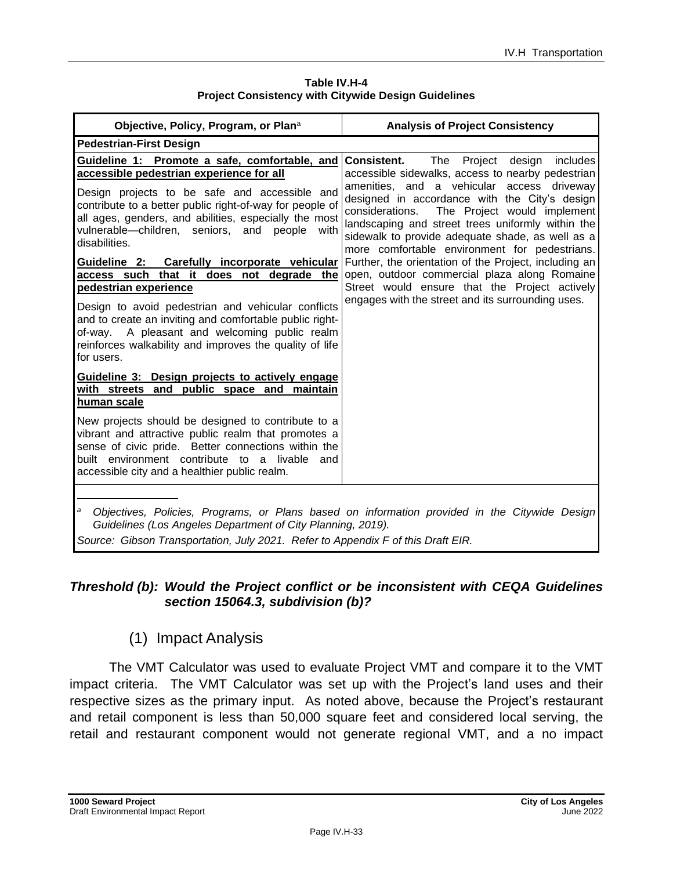| Table IV.H-4                                               |  |  |
|------------------------------------------------------------|--|--|
| <b>Project Consistency with Citywide Design Guidelines</b> |  |  |

| Objective, Policy, Program, or Plana                                                                                                                                                                                                                               | <b>Analysis of Project Consistency</b>                                                                                                                                                                                                                                                                  |
|--------------------------------------------------------------------------------------------------------------------------------------------------------------------------------------------------------------------------------------------------------------------|---------------------------------------------------------------------------------------------------------------------------------------------------------------------------------------------------------------------------------------------------------------------------------------------------------|
| <b>Pedestrian-First Design</b>                                                                                                                                                                                                                                     |                                                                                                                                                                                                                                                                                                         |
| Guideline 1: Promote a safe, comfortable, and<br>accessible pedestrian experience for all                                                                                                                                                                          | The Project<br>includes<br>Consistent.<br>design<br>accessible sidewalks, access to nearby pedestrian                                                                                                                                                                                                   |
| Design projects to be safe and accessible and<br>contribute to a better public right-of-way for people of<br>all ages, genders, and abilities, especially the most<br>vulnerable-children, seniors, and people<br>with<br>disabilities.                            | amenities, and a vehicular access driveway<br>designed in accordance with the City's design<br>considerations.<br>The Project would implement<br>landscaping and street trees uniformly within the<br>sidewalk to provide adequate shade, as well as a<br>more comfortable environment for pedestrians. |
| Guideline 2: Carefully incorporate vehicular                                                                                                                                                                                                                       | Further, the orientation of the Project, including an                                                                                                                                                                                                                                                   |
| access such that it does not degrade the<br>pedestrian experience                                                                                                                                                                                                  | open, outdoor commercial plaza along Romaine<br>Street would ensure that the Project actively                                                                                                                                                                                                           |
| Design to avoid pedestrian and vehicular conflicts<br>and to create an inviting and comfortable public right-<br>of-way. A pleasant and welcoming public realm<br>reinforces walkability and improves the quality of life<br>for users.                            | engages with the street and its surrounding uses.                                                                                                                                                                                                                                                       |
| Guideline 3: Design projects to actively engage<br>with streets and public space and maintain<br>human scale                                                                                                                                                       |                                                                                                                                                                                                                                                                                                         |
| New projects should be designed to contribute to a<br>vibrant and attractive public realm that promotes a<br>sense of civic pride. Better connections within the<br>built environment contribute to a livable and<br>accessible city and a healthier public realm. |                                                                                                                                                                                                                                                                                                         |
| a<br>Guidelines (Los Angeles Department of City Planning, 2019).<br>Source: Gibson Transportation, July 2021. Refer to Appendix F of this Draft EIR.                                                                                                               | Objectives, Policies, Programs, or Plans based on information provided in the Citywide Design                                                                                                                                                                                                           |

#### *Threshold (b): Would the Project conflict or be inconsistent with CEQA Guidelines section 15064.3, subdivision (b)?*

## (1) Impact Analysis

The VMT Calculator was used to evaluate Project VMT and compare it to the VMT impact criteria. The VMT Calculator was set up with the Project's land uses and their respective sizes as the primary input. As noted above, because the Project's restaurant and retail component is less than 50,000 square feet and considered local serving, the retail and restaurant component would not generate regional VMT, and a no impact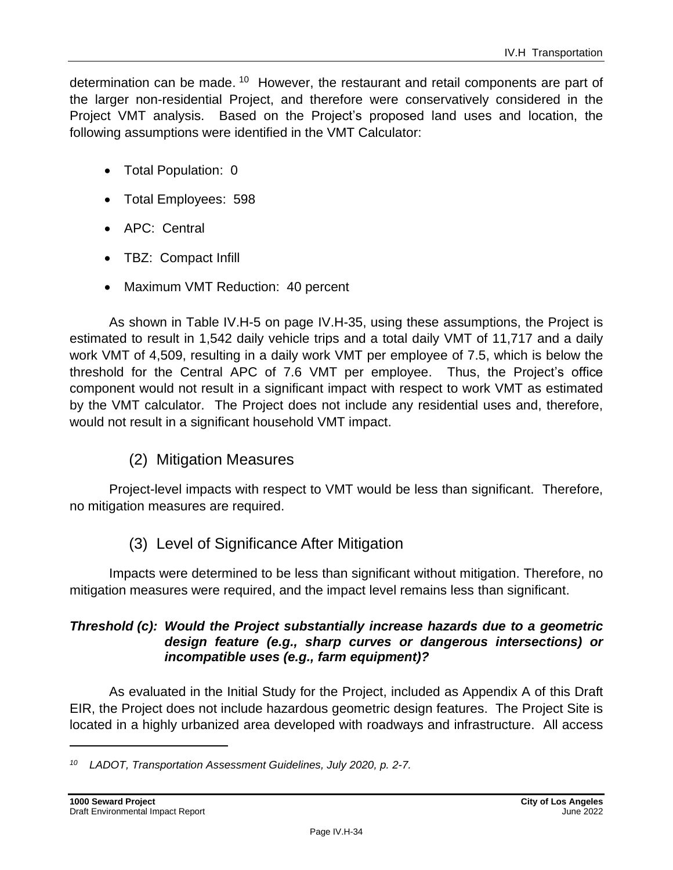determination can be made. <sup>10</sup> However, the restaurant and retail components are part of the larger non-residential Project, and therefore were conservatively considered in the Project VMT analysis. Based on the Project's proposed land uses and location, the following assumptions were identified in the VMT Calculator:

- Total Population: 0
- Total Employees: 598
- APC: Central
- TBZ: Compact Infill
- Maximum VMT Reduction: 40 percent

As shown in Table IV.H-5 on page IV.H-35, using these assumptions, the Project is estimated to result in 1,542 daily vehicle trips and a total daily VMT of 11,717 and a daily work VMT of 4,509, resulting in a daily work VMT per employee of 7.5, which is below the threshold for the Central APC of 7.6 VMT per employee. Thus, the Project's office component would not result in a significant impact with respect to work VMT as estimated by the VMT calculator. The Project does not include any residential uses and, therefore, would not result in a significant household VMT impact.

### (2) Mitigation Measures

Project-level impacts with respect to VMT would be less than significant. Therefore, no mitigation measures are required.

(3) Level of Significance After Mitigation

Impacts were determined to be less than significant without mitigation. Therefore, no mitigation measures were required, and the impact level remains less than significant.

#### *Threshold (c): Would the Project substantially increase hazards due to a geometric design feature (e.g., sharp curves or dangerous intersections) or incompatible uses (e.g., farm equipment)?*

As evaluated in the Initial Study for the Project, included as Appendix A of this Draft EIR, the Project does not include hazardous geometric design features. The Project Site is located in a highly urbanized area developed with roadways and infrastructure. All access

*<sup>10</sup> LADOT, Transportation Assessment Guidelines, July 2020, p. 2-7.*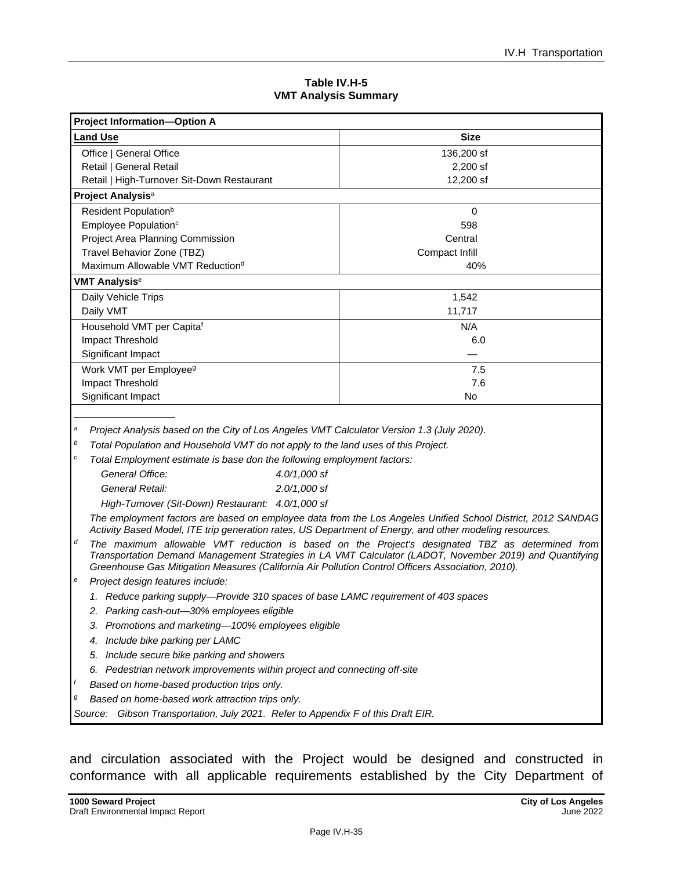| Table IV.H-5                |  |  |
|-----------------------------|--|--|
| <b>VMT Analysis Summary</b> |  |  |

| <b>Project Information-Option A</b>          |                |  |
|----------------------------------------------|----------------|--|
| <b>Land Use</b>                              | <b>Size</b>    |  |
| Office   General Office                      | 136,200 sf     |  |
| Retail   General Retail                      | $2,200$ sf     |  |
| Retail   High-Turnover Sit-Down Restaurant   | 12,200 sf      |  |
| Project Analysis <sup>a</sup>                |                |  |
| Resident Population <sup>b</sup>             | $\Omega$       |  |
| Employee Population <sup>c</sup>             | 598            |  |
| Project Area Planning Commission             | Central        |  |
| Travel Behavior Zone (TBZ)                   | Compact Infill |  |
| Maximum Allowable VMT Reduction <sup>d</sup> | 40%            |  |
| <b>VMT Analysis<sup>e</sup></b>              |                |  |
| Daily Vehicle Trips                          | 1,542          |  |
| Daily VMT                                    | 11,717         |  |
| Household VMT per Capitaf                    | N/A            |  |
| Impact Threshold                             | 6.0            |  |
| Significant Impact                           |                |  |
| Work VMT per Employee <sup>9</sup>           | 7.5            |  |
| Impact Threshold                             | 7.6            |  |
| Significant Impact                           | No             |  |

*<sup>a</sup> Project Analysis based on the City of Los Angeles VMT Calculator Version 1.3 (July 2020).*

*<sup>b</sup> Total Population and Household VMT do not apply to the land uses of this Project.*

*<sup>c</sup> Total Employment estimate is base don the following employment factors:*

| General Office:                                   | 4.0/1.000 st |
|---------------------------------------------------|--------------|
| General Retail:                                   | 2.0/1.000 sf |
| High-Turnover (Sit-Down) Restaurant: 4.0/1,000 sf |              |

*The employment factors are based on employee data from the Los Angeles Unified School District, 2012 SANDAG Activity Based Model, ITE trip generation rates, US Department of Energy, and other modeling resources.*

- *<sup>d</sup> The maximum allowable VMT reduction is based on the Project's designated TBZ as determined from Transportation Demand Management Strategies in LA VMT Calculator (LADOT, November 2019) and Quantifying Greenhouse Gas Mitigation Measures (California Air Pollution Control Officers Association, 2010).*
- *<sup>e</sup> Project design features include:*
	- *1. Reduce parking supply—Provide 310 spaces of base LAMC requirement of 403 spaces*
	- *2. Parking cash-out—30% employees eligible*
	- *3. Promotions and marketing—100% employees eligible*
	- *4. Include bike parking per LAMC*
	- *5. Include secure bike parking and showers*
	- *6. Pedestrian network improvements within project and connecting off-site*
	- *<sup>f</sup> Based on home-based production trips only.*
- *<sup>g</sup> Based on home-based work attraction trips only.*

*Source: Gibson Transportation, July 2021. Refer to Appendix F of this Draft EIR.*

and circulation associated with the Project would be designed and constructed in conformance with all applicable requirements established by the City Department of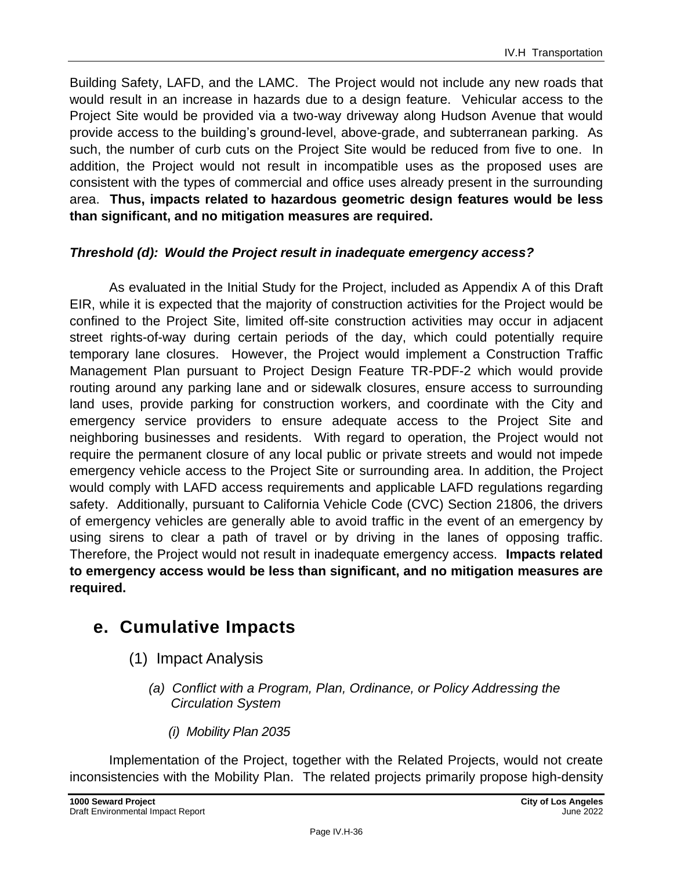Building Safety, LAFD, and the LAMC. The Project would not include any new roads that would result in an increase in hazards due to a design feature. Vehicular access to the Project Site would be provided via a two-way driveway along Hudson Avenue that would provide access to the building's ground-level, above-grade, and subterranean parking. As such, the number of curb cuts on the Project Site would be reduced from five to one. In addition, the Project would not result in incompatible uses as the proposed uses are consistent with the types of commercial and office uses already present in the surrounding area. **Thus, impacts related to hazardous geometric design features would be less than significant, and no mitigation measures are required.**

### *Threshold (d): Would the Project result in inadequate emergency access?*

As evaluated in the Initial Study for the Project, included as Appendix A of this Draft EIR, while it is expected that the majority of construction activities for the Project would be confined to the Project Site, limited off-site construction activities may occur in adjacent street rights-of-way during certain periods of the day, which could potentially require temporary lane closures. However, the Project would implement a Construction Traffic Management Plan pursuant to Project Design Feature TR-PDF-2 which would provide routing around any parking lane and or sidewalk closures, ensure access to surrounding land uses, provide parking for construction workers, and coordinate with the City and emergency service providers to ensure adequate access to the Project Site and neighboring businesses and residents. With regard to operation, the Project would not require the permanent closure of any local public or private streets and would not impede emergency vehicle access to the Project Site or surrounding area. In addition, the Project would comply with LAFD access requirements and applicable LAFD regulations regarding safety. Additionally, pursuant to California Vehicle Code (CVC) Section 21806, the drivers of emergency vehicles are generally able to avoid traffic in the event of an emergency by using sirens to clear a path of travel or by driving in the lanes of opposing traffic. Therefore, the Project would not result in inadequate emergency access. **Impacts related to emergency access would be less than significant, and no mitigation measures are required.** 

## **e. Cumulative Impacts**

- (1) Impact Analysis
	- *(a) Conflict with a Program, Plan, Ordinance, or Policy Addressing the Circulation System*
		- *(i) Mobility Plan 2035*

Implementation of the Project, together with the Related Projects, would not create inconsistencies with the Mobility Plan. The related projects primarily propose high-density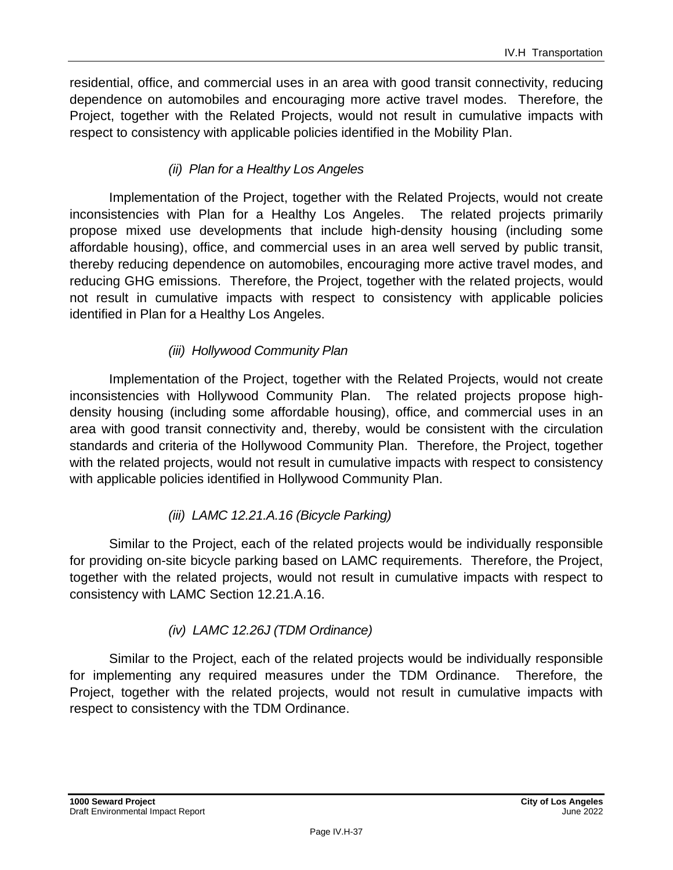residential, office, and commercial uses in an area with good transit connectivity, reducing dependence on automobiles and encouraging more active travel modes. Therefore, the Project, together with the Related Projects, would not result in cumulative impacts with respect to consistency with applicable policies identified in the Mobility Plan.

### *(ii) Plan for a Healthy Los Angeles*

Implementation of the Project, together with the Related Projects, would not create inconsistencies with Plan for a Healthy Los Angeles. The related projects primarily propose mixed use developments that include high-density housing (including some affordable housing), office, and commercial uses in an area well served by public transit, thereby reducing dependence on automobiles, encouraging more active travel modes, and reducing GHG emissions. Therefore, the Project, together with the related projects, would not result in cumulative impacts with respect to consistency with applicable policies identified in Plan for a Healthy Los Angeles.

### *(iii) Hollywood Community Plan*

Implementation of the Project, together with the Related Projects, would not create inconsistencies with Hollywood Community Plan. The related projects propose highdensity housing (including some affordable housing), office, and commercial uses in an area with good transit connectivity and, thereby, would be consistent with the circulation standards and criteria of the Hollywood Community Plan. Therefore, the Project, together with the related projects, would not result in cumulative impacts with respect to consistency with applicable policies identified in Hollywood Community Plan.

### *(iii) LAMC 12.21.A.16 (Bicycle Parking)*

Similar to the Project, each of the related projects would be individually responsible for providing on-site bicycle parking based on LAMC requirements. Therefore, the Project, together with the related projects, would not result in cumulative impacts with respect to consistency with LAMC Section 12.21.A.16.

### *(iv) LAMC 12.26J (TDM Ordinance)*

Similar to the Project, each of the related projects would be individually responsible for implementing any required measures under the TDM Ordinance. Therefore, the Project, together with the related projects, would not result in cumulative impacts with respect to consistency with the TDM Ordinance.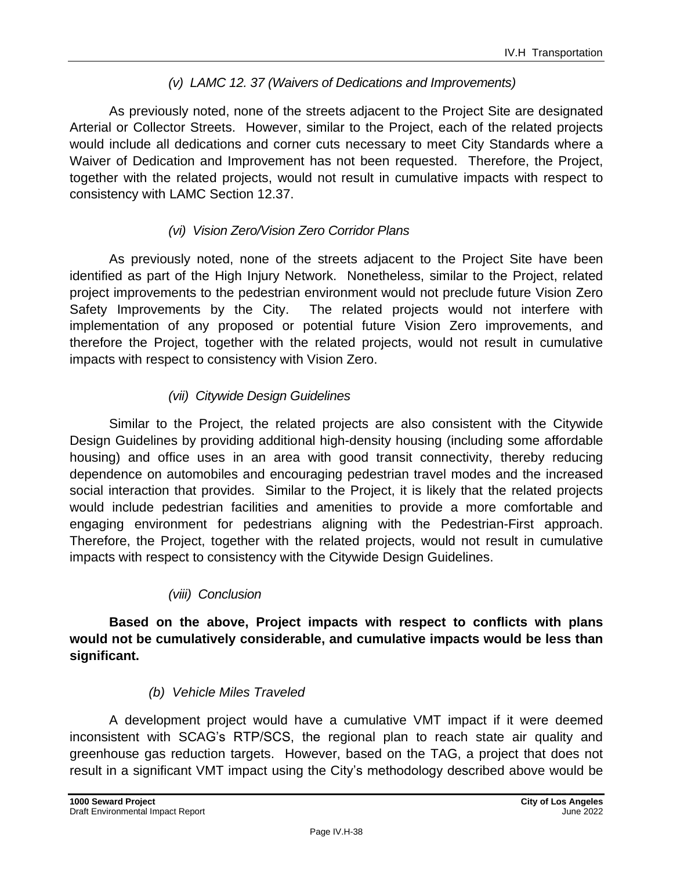### *(v) LAMC 12. 37 (Waivers of Dedications and Improvements)*

As previously noted, none of the streets adjacent to the Project Site are designated Arterial or Collector Streets. However, similar to the Project, each of the related projects would include all dedications and corner cuts necessary to meet City Standards where a Waiver of Dedication and Improvement has not been requested. Therefore, the Project, together with the related projects, would not result in cumulative impacts with respect to consistency with LAMC Section 12.37.

### *(vi) Vision Zero/Vision Zero Corridor Plans*

As previously noted, none of the streets adjacent to the Project Site have been identified as part of the High Injury Network. Nonetheless, similar to the Project, related project improvements to the pedestrian environment would not preclude future Vision Zero Safety Improvements by the City. The related projects would not interfere with implementation of any proposed or potential future Vision Zero improvements, and therefore the Project, together with the related projects, would not result in cumulative impacts with respect to consistency with Vision Zero.

### *(vii) Citywide Design Guidelines*

Similar to the Project, the related projects are also consistent with the Citywide Design Guidelines by providing additional high-density housing (including some affordable housing) and office uses in an area with good transit connectivity, thereby reducing dependence on automobiles and encouraging pedestrian travel modes and the increased social interaction that provides. Similar to the Project, it is likely that the related projects would include pedestrian facilities and amenities to provide a more comfortable and engaging environment for pedestrians aligning with the Pedestrian-First approach. Therefore, the Project, together with the related projects, would not result in cumulative impacts with respect to consistency with the Citywide Design Guidelines.

### *(viii) Conclusion*

**Based on the above, Project impacts with respect to conflicts with plans would not be cumulatively considerable, and cumulative impacts would be less than significant.**

### *(b) Vehicle Miles Traveled*

A development project would have a cumulative VMT impact if it were deemed inconsistent with SCAG's RTP/SCS, the regional plan to reach state air quality and greenhouse gas reduction targets. However, based on the TAG, a project that does not result in a significant VMT impact using the City's methodology described above would be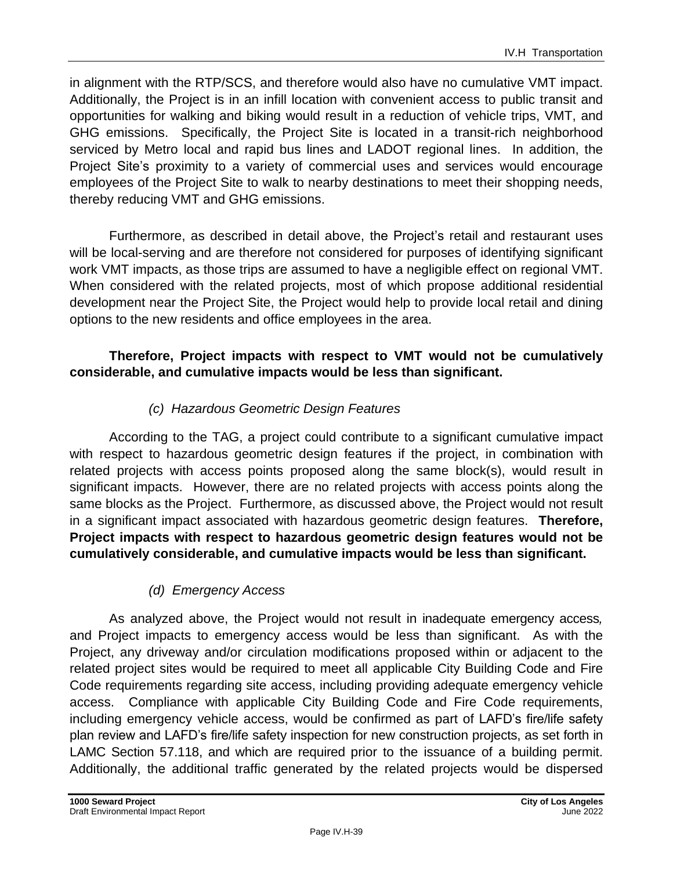in alignment with the RTP/SCS, and therefore would also have no cumulative VMT impact. Additionally, the Project is in an infill location with convenient access to public transit and opportunities for walking and biking would result in a reduction of vehicle trips, VMT, and GHG emissions. Specifically, the Project Site is located in a transit-rich neighborhood serviced by Metro local and rapid bus lines and LADOT regional lines. In addition, the Project Site's proximity to a variety of commercial uses and services would encourage employees of the Project Site to walk to nearby destinations to meet their shopping needs, thereby reducing VMT and GHG emissions.

Furthermore, as described in detail above, the Project's retail and restaurant uses will be local-serving and are therefore not considered for purposes of identifying significant work VMT impacts, as those trips are assumed to have a negligible effect on regional VMT. When considered with the related projects, most of which propose additional residential development near the Project Site, the Project would help to provide local retail and dining options to the new residents and office employees in the area.

### **Therefore, Project impacts with respect to VMT would not be cumulatively considerable, and cumulative impacts would be less than significant.**

### *(c) Hazardous Geometric Design Features*

According to the TAG, a project could contribute to a significant cumulative impact with respect to hazardous geometric design features if the project, in combination with related projects with access points proposed along the same block(s), would result in significant impacts. However, there are no related projects with access points along the same blocks as the Project. Furthermore, as discussed above, the Project would not result in a significant impact associated with hazardous geometric design features. **Therefore, Project impacts with respect to hazardous geometric design features would not be cumulatively considerable, and cumulative impacts would be less than significant.**

### *(d) Emergency Access*

As analyzed above, the Project would not result in inadequate emergency access*,*  and Project impacts to emergency access would be less than significant. As with the Project, any driveway and/or circulation modifications proposed within or adjacent to the related project sites would be required to meet all applicable City Building Code and Fire Code requirements regarding site access, including providing adequate emergency vehicle access. Compliance with applicable City Building Code and Fire Code requirements, including emergency vehicle access, would be confirmed as part of LAFD's fire/life safety plan review and LAFD's fire/life safety inspection for new construction projects, as set forth in LAMC Section 57.118, and which are required prior to the issuance of a building permit. Additionally, the additional traffic generated by the related projects would be dispersed